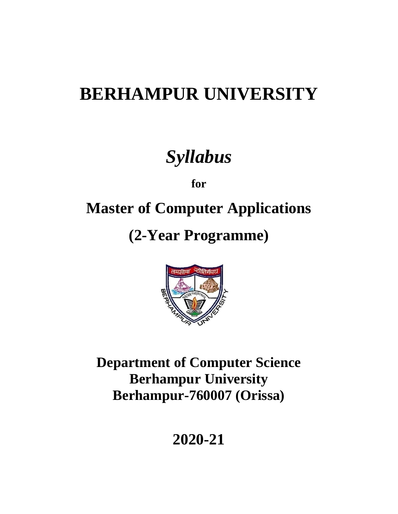# **BERHAMPUR UNIVERSITY**

# *Syllabus*

**for**

# **Master of Computer Applications**

# **(2-Year Programme)**



**Department of Computer Science Berhampur University Berhampur-760007 (Orissa)**

**2020-21**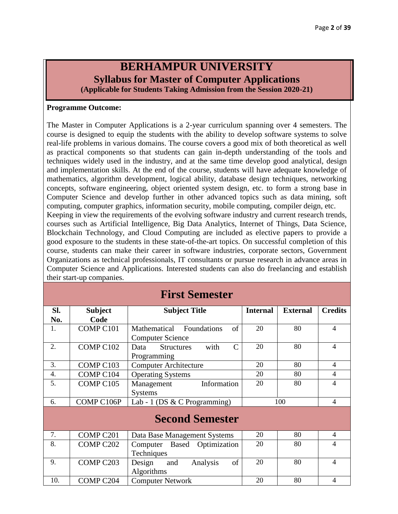# **BERHAMPUR UNIVERSITY Syllabus for Master of Computer Applications (Applicable for Students Taking Admission from the Session 2020-21)**

### **Programme Outcome:**

their start-up companies.

The Master in Computer Applications is a 2-year curriculum spanning over 4 semesters. The course is designed to equip the students with the ability to develop software systems to solve real-life problems in various domains. The course covers a good mix of both theoretical as well as practical components so that students can gain in-depth understanding of the tools and techniques widely used in the industry, and at the same time develop good analytical, design and implementation skills. At the end of the course, students will have adequate knowledge of mathematics, algorithm development, logical ability, database design techniques, networking concepts, software engineering, object oriented system design, etc. to form a strong base in Computer Science and develop further in other advanced topics such as data mining, soft computing, computer graphics, information security, mobile computing, compiler deign, etc. Keeping in view the requirements of the evolving software industry and current research trends, courses such as Artificial Intelligence, Big Data Analytics, Internet of Things, Data Science, Blockchain Technology, and Cloud Computing are included as elective papers to provide a good exposure to the students in these state-of-the-art topics. On successful completion of this course, students can make their career in software industries, corporate sectors, Government Organizations as technical professionals, IT consultants or pursue research in advance areas in Computer Science and Applications. Interested students can also do freelancing and establish

**First Semester**

| Sl.                    | <b>Subject</b>       | <b>Subject Title</b>                              | <b>Internal</b> | <b>External</b> | <b>Credits</b> |  |  |  |  |  |
|------------------------|----------------------|---------------------------------------------------|-----------------|-----------------|----------------|--|--|--|--|--|
| No.                    | Code                 |                                                   |                 |                 |                |  |  |  |  |  |
| 1.                     | COMP <sub>C101</sub> | of<br>Mathematical<br>Foundations                 | 20              | 80              | 4              |  |  |  |  |  |
|                        |                      | <b>Computer Science</b>                           |                 |                 |                |  |  |  |  |  |
| 2.                     | COMP C102            | with<br>$\mathsf{C}$<br><b>Structures</b><br>Data | 20              | 80              | 4              |  |  |  |  |  |
|                        |                      | Programming                                       |                 |                 |                |  |  |  |  |  |
| 3.                     | COMP C103            | <b>Computer Architecture</b>                      | 20              | 80              | 4              |  |  |  |  |  |
| 4.                     | COMP <sub>C104</sub> | <b>Operating Systems</b>                          | 20              | 80              | 4              |  |  |  |  |  |
| 5.                     | COMP <sub>C105</sub> | Information<br>Management                         | 20              | 80              | $\overline{4}$ |  |  |  |  |  |
|                        |                      | <b>Systems</b>                                    |                 |                 |                |  |  |  |  |  |
| 6.                     | COMP C106P           | Lab - 1 (DS & C Programming)                      |                 | 100             | 4              |  |  |  |  |  |
| <b>Second Semester</b> |                      |                                                   |                 |                 |                |  |  |  |  |  |
| 7.                     | COMP <sub>C201</sub> | Data Base Management Systems                      | 20              | 80              | 4              |  |  |  |  |  |
| 8.                     | COMP <sub>C202</sub> | Computer Based Optimization                       | 20              | 80              | $\overline{4}$ |  |  |  |  |  |
|                        |                      | Techniques                                        |                 |                 |                |  |  |  |  |  |
| 9.                     | COMP <sub>C203</sub> | of<br>Analysis<br>Design<br>and                   | 20              | 80              | 4              |  |  |  |  |  |
|                        |                      | Algorithms                                        |                 |                 |                |  |  |  |  |  |
| 10.                    | COMP <sub>C204</sub> | <b>Computer Network</b>                           | 20              | 80              | 4              |  |  |  |  |  |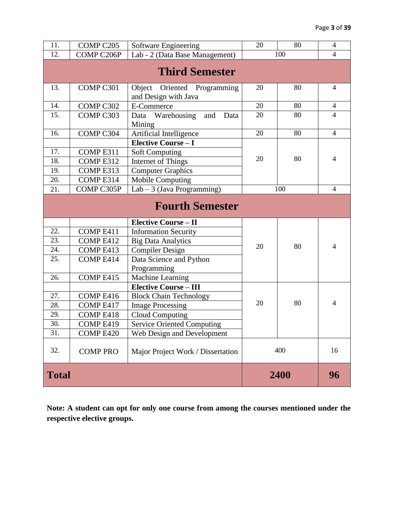| 11.          | COMP C205            | Software Engineering                                   | 20   | 80             | $\overline{4}$ |
|--------------|----------------------|--------------------------------------------------------|------|----------------|----------------|
| 12.          | COMP C206P           | Lab - 2 (Data Base Management)                         | 100  | $\overline{4}$ |                |
|              |                      | <b>Third Semester</b>                                  |      |                |                |
| 13.          | COMP <sub>C301</sub> | Object<br>Oriented Programming<br>and Design with Java | 20   | 80             | 4              |
| 14.          | COMP C302            | E-Commerce                                             | 20   | 80             | $\overline{4}$ |
| 15.          | COMP <sub>C303</sub> | Data Warehousing<br>and<br>Data<br>Mining              | 20   | 80             | $\overline{4}$ |
| 16.          | COMP <sub>C304</sub> | Artificial Intelligence                                | 20   | 80             | $\overline{4}$ |
|              |                      | <b>Elective Course - I</b>                             |      |                |                |
| 17.          | COMP E311            | <b>Soft Computing</b>                                  |      |                |                |
| 18.          | COMP E312            | Internet of Things                                     | 20   | 80             | 4              |
| 19.          | COMP E313            | <b>Computer Graphics</b>                               |      |                |                |
| 20.          | COMP E314            | Mobile Computing                                       |      |                |                |
| 21.          | COMP C305P           | Lab $-3$ (Java Programming)                            |      | 100            | $\overline{4}$ |
|              |                      | <b>Fourth Semester</b>                                 |      |                |                |
|              |                      | <b>Elective Course - II</b>                            |      |                |                |
| 22.          | COMP E411            | <b>Information Security</b>                            |      |                |                |
| 23.          | COMP E412            | <b>Big Data Analytics</b>                              | 20   | 80             | $\overline{4}$ |
| 24.          | COMP E413            | <b>Compiler Design</b>                                 |      |                |                |
| 25.          | COMP E414            | Data Science and Python                                |      |                |                |
|              |                      | Programming                                            |      |                |                |
| 26.          | COMP E415            | Machine Learning                                       |      |                |                |
|              |                      | <b>Elective Course - III</b>                           |      |                |                |
| 27.          | COMP E416            | <b>Block Chain Technology</b>                          | 20   | 80             | 4              |
| 28.          | COMP E417            | <b>Image Processing</b>                                |      |                |                |
| 29.          | COMP E418            | <b>Cloud Computing</b>                                 |      |                |                |
| 30.          | COMP <sub>E419</sub> | <b>Service Oriented Computing</b>                      |      |                |                |
| 31.          | COMP E420            | Web Design and Development                             |      |                |                |
| 32.          | <b>COMP PRO</b>      |                                                        | 400  | 16             |                |
| <b>Total</b> |                      |                                                        | 2400 | 96             |                |

**Note: A student can opt for only one course from among the courses mentioned under the respective elective groups.**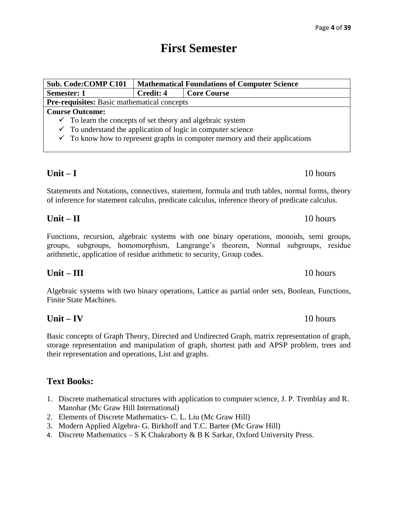# **First Semester**

| <b>Sub. Code:COMP C101</b>                                                             |           | <b>Mathematical Foundations of Computer Science</b> |  |  |  |
|----------------------------------------------------------------------------------------|-----------|-----------------------------------------------------|--|--|--|
| <b>Semester: 1</b>                                                                     | Credit: 4 | <b>Core Course</b>                                  |  |  |  |
| <b>Pre-requisites:</b> Basic mathematical concepts                                     |           |                                                     |  |  |  |
| <b>Course Outcome:</b>                                                                 |           |                                                     |  |  |  |
| $\checkmark$ To learn the concepts of set theory and algebraic system                  |           |                                                     |  |  |  |
| $\checkmark$ To understand the application of logic in computer science                |           |                                                     |  |  |  |
| $\checkmark$ To know how to represent graphs in computer memory and their applications |           |                                                     |  |  |  |
|                                                                                        |           |                                                     |  |  |  |

# **Unit – I** 10 hours

Statements and Notations, connectives, statement, formula and truth tables, normal forms, theory of inference for statement calculus, predicate calculus, inference theory of predicate calculus.

Functions, recursion, algebraic systems with one binary operations, monoids, semi groups, groups, subgroups, homomorphism, Langrange's theorem, Normal subgroups, residue arithmetic, application of residue arithmetic to security, Group codes.

**Unit – III** 10 hours

Algebraic systems with two binary operations, Lattice as partial order sets, Boolean, Functions, Finite State Machines.

Basic concepts of Graph Theory, Directed and Undirected Graph, matrix representation of graph, storage representation and manipulation of graph, shortest path and APSP problem, trees and their representation and operations, List and graphs.

# **Text Books:**

- 1. Discrete mathematical structures with application to computer science, J. P. Tremblay and R. Manohar (Mc Graw Hill International)
- 2. Elements of Discrete Mathematics- C. L. Liu (Mc Graw Hill)
- 3. Modern Applied Algebra- G. Birkhoff and T.C. Bartee (Mc Graw Hill)
- 4. Discrete Mathematics S K Chakraborty & B K Sarkar, Oxford University Press.

**Unit – II** 10 hours

### **Unit – IV** 10 hours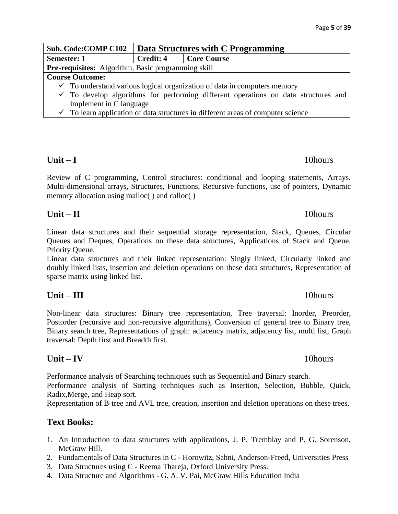| <b>Sub. Code: COMP C102</b>                                                                   | Data Structures with C Programming                                                          |                    |  |  |  |
|-----------------------------------------------------------------------------------------------|---------------------------------------------------------------------------------------------|--------------------|--|--|--|
| <b>Semester: 1</b>                                                                            | Credit: 4                                                                                   | <b>Core Course</b> |  |  |  |
| <b>Pre-requisites:</b> Algorithm, Basic programming skill                                     |                                                                                             |                    |  |  |  |
| <b>Course Outcome:</b>                                                                        |                                                                                             |                    |  |  |  |
| $\checkmark$ To understand various logical organization of data in computers memory           |                                                                                             |                    |  |  |  |
| $\checkmark$ To develop algorithms for performing different operations on data structures and |                                                                                             |                    |  |  |  |
| implement in C language                                                                       |                                                                                             |                    |  |  |  |
|                                                                                               | $\checkmark$ To learn application of data structures in different areas of computer science |                    |  |  |  |

# **Unit – I** 10hours

Review of C programming, Control structures: conditional and looping statements, Arrays. Multi-dimensional arrays, Structures, Functions, Recursive functions, use of pointers, Dynamic memory allocation using malloc( ) and calloc( )

# **Unit – II** 10hours

Linear data structures and their sequential storage representation, Stack, Queues, Circular Queues and Deques, Operations on these data structures, Applications of Stack and Queue, Priority Queue.

Linear data structures and their linked representation: Singly linked, Circularly linked and doubly linked lists, insertion and deletion operations on these data structures, Representation of sparse matrix using linked list.

# **Unit – III** 10hours

Non-linear data structures: Binary tree representation, Tree traversal: Inorder, Preorder, Postorder (recursive and non-recursive algorithms), Conversion of general tree to Binary tree, Binary search tree, Representations of graph: adjacency matrix, adjacency list, multi list, Graph traversal: Depth first and Breadth first.

# **Unit – IV** 10hours

Performance analysis of Searching techniques such as Sequential and Binary search.

Performance analysis of Sorting techniques such as Insertion, Selection, Bubble, Quick, Radix,Merge, and Heap sort.

Representation of B-tree and AVL tree, creation, insertion and deletion operations on these trees.

# **Text Books:**

- 1. An Introduction to data structures with applications, J. P. Tremblay and P. G. Sorenson, McGraw Hill.
- 2. Fundamentals of Data Structures in C Horowitz, Sahni, Anderson-Freed, Universities Press
- 3. Data Structures using C Reema Thareja, Oxford University Press.
- 4. Data Structure and Algorithms G. A. V. Pai, McGraw Hills Education India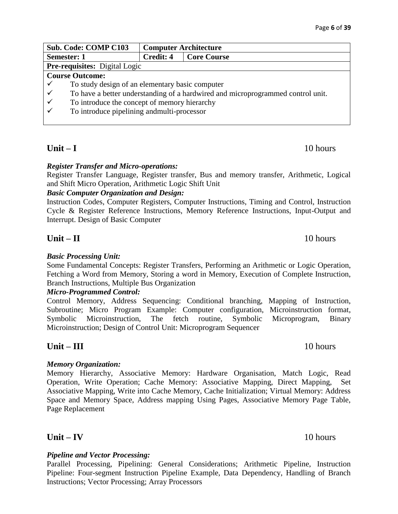| <b>Sub. Code: COMP C103</b> |                                                                                 | <b>Computer Architecture</b> |                    |  |  |
|-----------------------------|---------------------------------------------------------------------------------|------------------------------|--------------------|--|--|
| Semester: 1                 |                                                                                 | Credit: 4                    | <b>Core Course</b> |  |  |
|                             | <b>Pre-requisites:</b> Digital Logic                                            |                              |                    |  |  |
|                             | <b>Course Outcome:</b>                                                          |                              |                    |  |  |
|                             | To study design of an elementary basic computer                                 |                              |                    |  |  |
|                             | To have a better understanding of a hardwired and microprogrammed control unit. |                              |                    |  |  |
| $\checkmark$                | To introduce the concept of memory hierarchy                                    |                              |                    |  |  |
|                             | To introduce pipelining and multi-processor                                     |                              |                    |  |  |
|                             |                                                                                 |                              |                    |  |  |

# **Unit – I** 10 hours

### *Register Transfer and Micro-operations:*

Register Transfer Language, Register transfer, Bus and memory transfer, Arithmetic, Logical and Shift Micro Operation, Arithmetic Logic Shift Unit

### *Basic Computer Organization and Design:*

Instruction Codes, Computer Registers, Computer Instructions, Timing and Control, Instruction Cycle & Register Reference Instructions, Memory Reference Instructions, Input-Output and Interrupt. Design of Basic Computer

# **Unit – II** 10 hours

### *Basic Processing Unit:*

Some Fundamental Concepts: Register Transfers, Performing an Arithmetic or Logic Operation, Fetching a Word from Memory, Storing a word in Memory, Execution of Complete Instruction, Branch Instructions, Multiple Bus Organization

### *Micro-Programmed Control:*

Control Memory, Address Sequencing: Conditional branching, Mapping of Instruction, Subroutine; Micro Program Example: Computer configuration, Microinstruction format, Symbolic Microinstruction, The fetch routine, Symbolic Microprogram, Binary Microinstruction; Design of Control Unit: Microprogram Sequencer

# **Unit – III** 10 hours

### *Memory Organization:*

Memory Hierarchy, Associative Memory: Hardware Organisation, Match Logic, Read Operation, Write Operation; Cache Memory: Associative Mapping, Direct Mapping, Set Associative Mapping, Write into Cache Memory, Cache Initialization; Virtual Memory: Address Space and Memory Space, Address mapping Using Pages, Associative Memory Page Table, Page Replacement

# **Unit – IV** 10 hours

### *Pipeline and Vector Processing:*

Parallel Processing, Pipelining: General Considerations; Arithmetic Pipeline, Instruction Pipeline: Four-segment Instruction Pipeline Example, Data Dependency, Handling of Branch Instructions; Vector Processing; Array Processors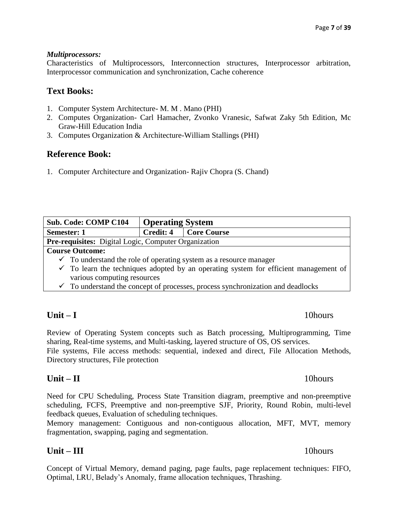### *Multiprocessors:*

Characteristics of Multiprocessors, Interconnection structures, Interprocessor arbitration, Interprocessor communication and synchronization, Cache coherence

# **Text Books:**

- 1. Computer System Architecture- M. M . Mano (PHI)
- 2. Computes Organization- Carl Hamacher, Zvonko Vranesic, Safwat Zaky 5th Edition, Mc Graw-Hill Education India
- 3. Computes Organization & Architecture-William Stallings (PHI)

# **Reference Book:**

1. Computer Architecture and Organization- Rajiv Chopra (S. Chand)

| <b>Sub. Code: COMP C104</b>                                                                     | <b>Operating System</b> |                    |  |  |  |
|-------------------------------------------------------------------------------------------------|-------------------------|--------------------|--|--|--|
| <b>Semester: 1</b>                                                                              | Credit: 4               | <b>Core Course</b> |  |  |  |
| <b>Pre-requisites:</b> Digital Logic, Computer Organization                                     |                         |                    |  |  |  |
| <b>Course Outcome:</b>                                                                          |                         |                    |  |  |  |
| $\checkmark$ To understand the role of operating system as a resource manager                   |                         |                    |  |  |  |
| $\checkmark$ To learn the techniques adopted by an operating system for efficient management of |                         |                    |  |  |  |
| various computing resources                                                                     |                         |                    |  |  |  |
| $\checkmark$ To understand the concept of processes, process synchronization and deadlocks      |                         |                    |  |  |  |
|                                                                                                 |                         |                    |  |  |  |

# **Unit – I** 10hours

Review of Operating System concepts such as Batch processing, Multiprogramming, Time sharing, Real-time systems, and Multi-tasking, layered structure of OS, OS services.

File systems, File access methods: sequential, indexed and direct, File Allocation Methods, Directory structures, File protection

# **Unit – II** 10hours

Need for CPU Scheduling, Process State Transition diagram, preemptive and non-preemptive scheduling, FCFS, Preemptive and non-preemptive SJF, Priority, Round Robin, multi-level feedback queues, Evaluation of scheduling techniques.

Memory management: Contiguous and non-contiguous allocation, MFT, MVT, memory fragmentation, swapping, paging and segmentation.

# **Unit – III** 10hours

Concept of Virtual Memory, demand paging, page faults, page replacement techniques: FIFO, Optimal, LRU, Belady's Anomaly, frame allocation techniques, Thrashing.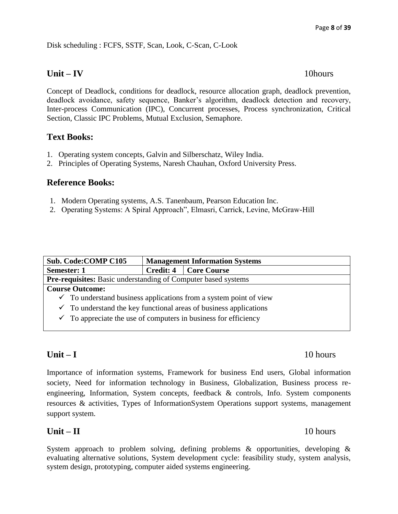Disk scheduling : FCFS, SSTF, Scan, Look, C-Scan, C-Look

### **Unit – IV** 10hours

Concept of Deadlock, conditions for deadlock, resource allocation graph, deadlock prevention, deadlock avoidance, safety sequence, Banker's algorithm, deadlock detection and recovery, Inter-process Communication (IPC), Concurrent processes, Process synchronization, Critical Section, Classic IPC Problems, Mutual Exclusion, Semaphore.

# **Text Books:**

- 1. Operating system concepts, Galvin and Silberschatz, Wiley India.
- 2. Principles of Operating Systems, Naresh Chauhan, Oxford University Press.

### **Reference Books:**

- 1. Modern Operating systems, A.S. Tanenbaum, Pearson Education Inc.
- 2. Operating Systems: A Spiral Approach", Elmasri, Carrick, Levine, McGraw-Hill

| <b>Sub. Code: COMP C105</b>                                                  |                                                               | <b>Management Information Systems</b> |  |  |  |
|------------------------------------------------------------------------------|---------------------------------------------------------------|---------------------------------------|--|--|--|
| Semester: 1                                                                  |                                                               | Credit: 4   Core Course               |  |  |  |
|                                                                              | Pre-requisites: Basic understanding of Computer based systems |                                       |  |  |  |
| <b>Course Outcome:</b>                                                       |                                                               |                                       |  |  |  |
| $\checkmark$ To understand business applications from a system point of view |                                                               |                                       |  |  |  |
| $\checkmark$ To understand the key functional areas of business applications |                                                               |                                       |  |  |  |
| $\checkmark$ To appreciate the use of computers in business for efficiency   |                                                               |                                       |  |  |  |

# **Unit – I** 10 hours

Importance of information systems, Framework for business End users, Global information society, Need for information technology in Business, Globalization, Business process reengineering, Information, System concepts, feedback & controls, Info. System components resources & activities, Types of InformationSystem Operations support systems, management support system.

# **Unit – II** 10 hours

System approach to problem solving, defining problems  $\&$  opportunities, developing  $\&$ evaluating alternative solutions, System development cycle: feasibility study, system analysis, system design, prototyping, computer aided systems engineering.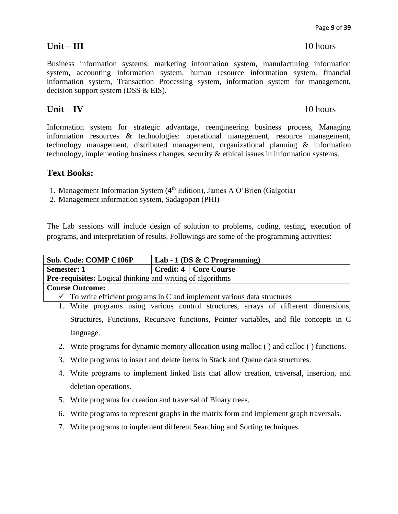Page **9** of **39**

Business information systems: marketing information system, manufacturing information system, accounting information system, human resource information system, financial information system, Transaction Processing system, information system for management, decision support system (DSS & EIS).

# **Unit – IV** 10 hours

Information system for strategic advantage, reengineering business process, Managing information resources & technologies: operational management, resource management, technology management, distributed management, organizational planning & information technology, implementing business changes, security & ethical issues in information systems.

# **Text Books:**

- 1. Management Information System (4<sup>th</sup> Edition), James A O'Brien (Galgotia)
- 2. Management information system, Sadagopan (PHI)

The Lab sessions will include design of solution to problems, coding, testing, execution of programs, and interpretation of results. Followings are some of the programming activities:

| <b>Sub. Code: COMP C106P</b>                                                     |  | Lab - 1 (DS $\&$ C Programming) |  |  |  |
|----------------------------------------------------------------------------------|--|---------------------------------|--|--|--|
| <b>Semester: 1</b>                                                               |  | Credit: 4   Core Course         |  |  |  |
| <b>Pre-requisites:</b> Logical thinking and writing of algorithms                |  |                                 |  |  |  |
| <b>Course Outcome:</b>                                                           |  |                                 |  |  |  |
| $\Gamma$ To varies of issent negative in C and implement various data structures |  |                                 |  |  |  |

 $\checkmark$  To write efficient programs in C and implement various data structures

1. Write programs using various control structures, arrays of different dimensions, Structures, Functions, Recursive functions, Pointer variables, and file concepts in C language.

- 2. Write programs for dynamic memory allocation using malloc ( ) and calloc ( ) functions.
- 3. Write programs to insert and delete items in Stack and Queue data structures.
- 4. Write programs to implement linked lists that allow creation, traversal, insertion, and deletion operations.
- 5. Write programs for creation and traversal of Binary trees.
- 6. Write programs to represent graphs in the matrix form and implement graph traversals.
- 7. Write programs to implement different Searching and Sorting techniques.

# **Unit – III** 10 hours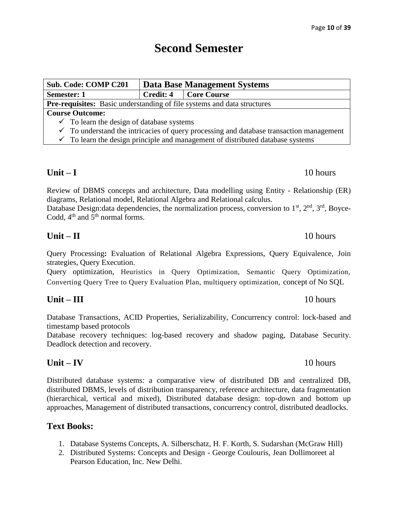# **Second Semester**

| <b>Sub. Code: COMP C201</b>                                                                        | Data Base Management Systems |             |  |  |  |
|----------------------------------------------------------------------------------------------------|------------------------------|-------------|--|--|--|
| <b>Semester: 1</b>                                                                                 | Credit: 4                    | Core Course |  |  |  |
| Pre-requisites: Basic understanding of file systems and data structures                            |                              |             |  |  |  |
| <b>Course Outcome:</b>                                                                             |                              |             |  |  |  |
| $\checkmark$ To learn the design of database systems                                               |                              |             |  |  |  |
| $\checkmark$ To understand the intricacies of query processing and database transaction management |                              |             |  |  |  |
| $\checkmark$ To learn the design principle and management of distributed database systems          |                              |             |  |  |  |
|                                                                                                    |                              |             |  |  |  |

# **Unit – I** 10 hours

Review of DBMS concepts and architecture, Data modelling using Entity - Relationship (ER) diagrams, Relational model, Relational Algebra and Relational calculus. Database Design: data dependencies, the normalization process, conversion to  $1<sup>st</sup>$ ,  $2<sup>nd</sup>$ ,  $3<sup>rd</sup>$ , Boyce-

Codd,  $4<sup>th</sup>$  and  $5<sup>th</sup>$  normal forms.

Query Processing**:** Evaluation of Relational Algebra Expressions, Query Equivalence, Join strategies, Query Execution.

**Unit – II** 10 hours

Query optimization, Heuristics in Query Optimization, Semantic Query Optimization, Converting Query Tree to Query Evaluation Plan, multiquery optimization, concept of No SQL

# **Unit – III** 10 hours

Database Transactions, ACID Properties, Serializability, Concurrency control: lock-based and timestamp based protocols

Database recovery techniques: log-based recovery and shadow paging, Database Security. Deadlock detection and recovery.

# **Unit – IV** 10 hours

Distributed database systems: a comparative view of distributed DB and centralized DB, distributed DBMS, levels of distribution transparency, reference architecture, data fragmentation (hierarchical, vertical and mixed), Distributed database design: top-down and bottom up approaches, Management of distributed transactions, concurrency control, distributed deadlocks.

# **Text Books:**

- 1. Database Systems Concepts, A. Silberschatz, H. F. Korth, S. Sudarshan (McGraw Hill)
- 2. Distributed Systems: Concepts and Design *-* George Coulouris, Jean Dollimoreet al Pearson Education, Inc. New Delhi.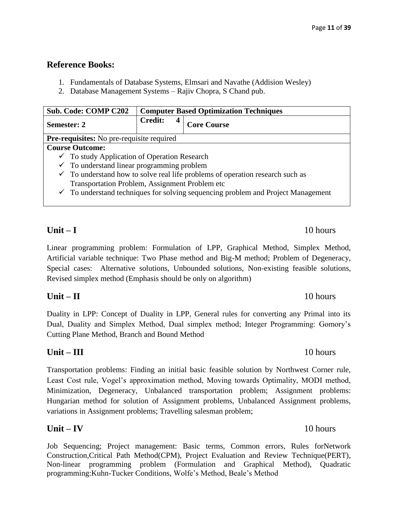### **Reference Books:**

- 1. Fundamentals of Database Systems, Elmsari and Navathe (Addision Wesley)
- 2. Database Management Systems Rajiv Chopra, S Chand pub.

| <b>Sub. Code: COMP C202</b>                                                              | <b>Computer Based Optimization Techniques</b> |   |                                                                                             |  |
|------------------------------------------------------------------------------------------|-----------------------------------------------|---|---------------------------------------------------------------------------------------------|--|
| Semester: 2                                                                              | <b>Credit:</b>                                | 4 | <b>Core Course</b>                                                                          |  |
| <b>Pre-requisites:</b> No pre-requisite required                                         |                                               |   |                                                                                             |  |
| <b>Course Outcome:</b>                                                                   |                                               |   |                                                                                             |  |
| $\checkmark$ To study Application of Operation Research                                  |                                               |   |                                                                                             |  |
| $\checkmark$ To understand linear programming problem                                    |                                               |   |                                                                                             |  |
| $\checkmark$ To understand how to solve real life problems of operation research such as |                                               |   |                                                                                             |  |
| Transportation Problem, Assignment Problem etc                                           |                                               |   |                                                                                             |  |
|                                                                                          |                                               |   | $\checkmark$ To understand techniques for solving sequencing problem and Project Management |  |

# **Unit – I** 10 hours

Linear programming problem: Formulation of LPP, Graphical Method, Simplex Method, Artificial variable technique: Two Phase method and Big-M method; Problem of Degeneracy, Special cases: Alternative solutions, Unbounded solutions, Non-existing feasible solutions, Revised simplex method (Emphasis should be only on algorithm)

# **Unit – II** 10 hours

Duality in LPP: Concept of Duality in LPP, General rules for converting any Primal into its Dual, Duality and Simplex Method, Dual simplex method; Integer Programming: Gomory's Cutting Plane Method, Branch and Bound Method

# **Unit – III** 10 hours

Transportation problems: Finding an initial basic feasible solution by Northwest Corner rule, Least Cost rule, Vogel's approximation method, Moving towards Optimality, MODI method, Minimization, Degeneracy, Unbalanced transportation problem; Assignment problems: Hungarian method for solution of Assignment problems, Unbalanced Assignment problems, variations in Assignment problems; Travelling salesman problem;

# **Unit – IV** 10 hours

Job Sequencing; Project management: Basic terms, Common errors, Rules forNetwork Construction,Critical Path Method(CPM), Project Evaluation and Review Technique(PERT), Non-linear programming problem (Formulation and Graphical Method), Quadratic programming:Kuhn-Tucker Conditions, Wolfe's Method, Beale's Method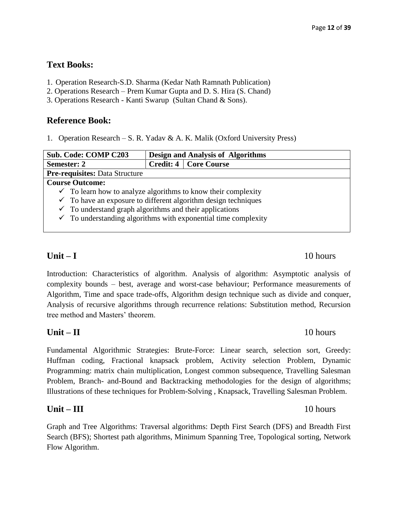# **Text Books:**

- 1. Operation Research-S.D. Sharma (Kedar Nath Ramnath Publication)
- 2. Operations Research Prem Kumar Gupta and D. S. Hira (S. Chand)
- 3. Operations Research Kanti Swarup (Sultan Chand & Sons).

# **Reference Book:**

1. Operation Research – S. R. Yadav & A. K. Malik (Oxford University Press)

| <b>Sub. Code: COMP C203</b>                                               | <b>Design and Analysis of Algorithms</b> |                                |  |  |  |
|---------------------------------------------------------------------------|------------------------------------------|--------------------------------|--|--|--|
| Semester: 2                                                               |                                          | <b>Credit: 4   Core Course</b> |  |  |  |
| <b>Pre-requisites: Data Structure</b>                                     |                                          |                                |  |  |  |
| <b>Course Outcome:</b>                                                    |                                          |                                |  |  |  |
| $\checkmark$ To learn how to analyze algorithms to know their complexity  |                                          |                                |  |  |  |
| $\checkmark$ To have an exposure to different algorithm design techniques |                                          |                                |  |  |  |
| $\checkmark$ To understand graph algorithms and their applications        |                                          |                                |  |  |  |
| $\checkmark$ To understanding algorithms with exponential time complexity |                                          |                                |  |  |  |
|                                                                           |                                          |                                |  |  |  |

# **Unit – I** 10 hours

Introduction: Characteristics of algorithm. Analysis of algorithm: Asymptotic analysis of complexity bounds – best, average and worst-case behaviour; Performance measurements of Algorithm, Time and space trade-offs, Algorithm design technique such as divide and conquer, Analysis of recursive algorithms through recurrence relations: Substitution method, Recursion tree method and Masters' theorem.

# **Unit – II** 10 hours

Fundamental Algorithmic Strategies: Brute-Force: Linear search, selection sort, Greedy: Huffman coding, Fractional knapsack problem, Activity selection Problem, Dynamic Programming: matrix chain multiplication, Longest common subsequence, Travelling Salesman Problem, Branch- and-Bound and Backtracking methodologies for the design of algorithms; Illustrations of these techniques for Problem-Solving , Knapsack, Travelling Salesman Problem.

# **Unit – III** 10 hours

Graph and Tree Algorithms: Traversal algorithms: Depth First Search (DFS) and Breadth First Search (BFS); Shortest path algorithms, Minimum Spanning Tree, Topological sorting, Network Flow Algorithm.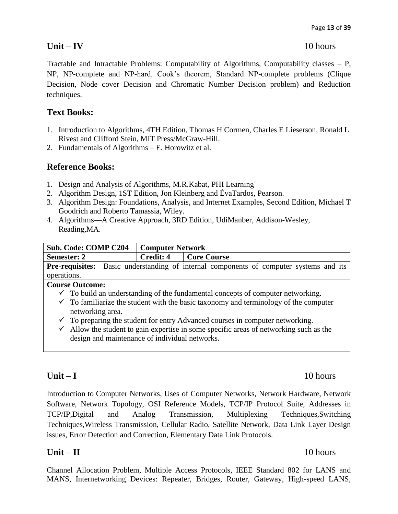### **Unit – IV** 10 hours

Tractable and Intractable Problems: Computability of Algorithms, Computability classes – P, NP, NP-complete and NP-hard. Cook's theorem, Standard NP-complete problems (Clique Decision, Node cover Decision and Chromatic Number Decision problem) and Reduction techniques.

# **Text Books:**

- 1. Introduction to Algorithms, 4TH Edition, Thomas H Cormen, Charles E Lieserson, Ronald L Rivest and Clifford Stein, MIT Press/McGraw-Hill.
- 2. Fundamentals of Algorithms E. Horowitz et al.

# **Reference Books:**

- 1. Design and Analysis of Algorithms, M.R.Kabat, PHI Learning
- 2. Algorithm Design, 1ST Edition, Jon Kleinberg and ÉvaTardos, Pearson.
- 3. Algorithm Design: Foundations, Analysis, and Internet Examples, Second Edition, Michael T Goodrich and Roberto Tamassia, Wiley.
- 4. Algorithms—A Creative Approach, 3RD Edition, UdiManber, Addison-Wesley, Reading,MA.

| <b>Sub. Code: COMP C204</b>                                                                     | <b>Computer Network</b> |                                                                                               |  |  |  |
|-------------------------------------------------------------------------------------------------|-------------------------|-----------------------------------------------------------------------------------------------|--|--|--|
| Semester: 2                                                                                     | Credit: 4               | <b>Core Course</b>                                                                            |  |  |  |
|                                                                                                 |                         | <b>Pre-requisites:</b> Basic understanding of internal components of computer systems and its |  |  |  |
| operations.                                                                                     |                         |                                                                                               |  |  |  |
| <b>Course Outcome:</b>                                                                          |                         |                                                                                               |  |  |  |
| $\checkmark$ To build an understanding of the fundamental concepts of computer networking.      |                         |                                                                                               |  |  |  |
| $\checkmark$ To familiarize the student with the basic taxonomy and terminology of the computer |                         |                                                                                               |  |  |  |
| networking area.                                                                                |                         |                                                                                               |  |  |  |
| $\checkmark$ To preparing the student for entry Advanced courses in computer networking.        |                         |                                                                                               |  |  |  |
| Allow the student to gain expertise in some specific areas of networking such as the<br>✓       |                         |                                                                                               |  |  |  |
| design and maintenance of individual networks.                                                  |                         |                                                                                               |  |  |  |

Introduction to Computer Networks, Uses of Computer Networks, Network Hardware, Network Software, Network Topology, OSI Reference Models, TCP/IP Protocol Suite, Addresses in TCP/IP,Digital and Analog Transmission, Multiplexing Techniques,Switching Techniques,Wireless Transmission, Cellular Radio, Satellite Network, Data Link Layer Design issues, Error Detection and Correction, Elementary Data Link Protocols.

# **Unit – II** 10 hours

Channel Allocation Problem, Multiple Access Protocols, IEEE Standard 802 for LANS and MANS, Internetworking Devices: Repeater, Bridges, Router, Gateway, High-speed LANS,

# **Unit – I** 10 hours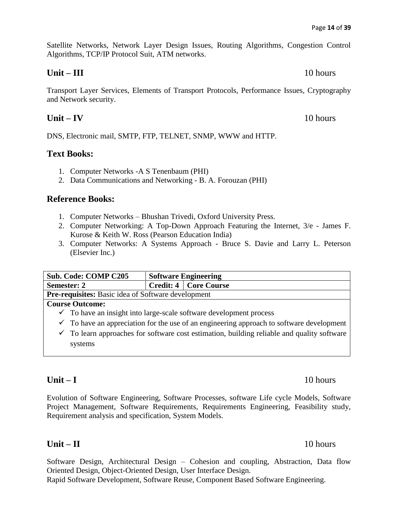Satellite Networks, Network Layer Design Issues, Routing Algorithms, Congestion Control Algorithms, TCP/IP Protocol Suit, ATM networks.

### **Unit – III** 10 hours

Transport Layer Services, Elements of Transport Protocols, Performance Issues, Cryptography and Network security.

# **Unit – IV** 10 hours

DNS, Electronic mail, SMTP, FTP, TELNET, SNMP, WWW and HTTP.

### **Text Books:**

- 1. Computer Networks -A S Tenenbaum (PHI)
- 2. Data Communications and Networking B. A. Forouzan (PHI)

# **Reference Books:**

- 1. Computer Networks Bhushan Trivedi, Oxford University Press.
- 2. Computer Networking: A Top-Down Approach Featuring the Internet, 3/e James F. Kurose & Keith W. Ross (Pearson Education India)
- 3. Computer Networks: A Systems Approach Bruce S. Davie and Larry L. Peterson (Elsevier Inc.)

| <b>Sub. Code: COMP C205</b>                               | <b>Software Engineering</b> |  |
|-----------------------------------------------------------|-----------------------------|--|
| <b>Semester: 2</b>                                        | Credit: 4   Core Course     |  |
| <b>Pre-requisites:</b> Basic idea of Software development |                             |  |
| <b>Course Outcome:</b>                                    |                             |  |

- $\checkmark$  To have an insight into large-scale software development process
- $\checkmark$  To have an appreciation for the use of an engineering approach to software development
- $\checkmark$  To learn approaches for software cost estimation, building reliable and quality software systems

# **Unit – I** 10 hours

Evolution of Software Engineering, Software Processes, software Life cycle Models, Software Project Management, Software Requirements, Requirements Engineering, Feasibility study, Requirement analysis and specification, System Models.

### **Unit – II** 10 hours

Software Design, Architectural Design – Cohesion and coupling, Abstraction, Data flow Oriented Design, Object-Oriented Design, User Interface Design.

Rapid Software Development, Software Reuse, Component Based Software Engineering.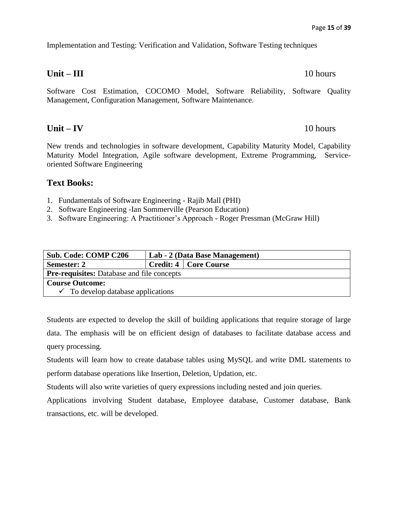Implementation and Testing: Verification and Validation, Software Testing techniques

### **Unit – III** 10 hours

Software Cost Estimation, COCOMO Model, Software Reliability, Software Quality Management, Configuration Management, Software Maintenance.

# **Unit – IV** 10 hours

New trends and technologies in software development, Capability Maturity Model, Capability Maturity Model Integration, Agile software development, Extreme Programming, Serviceoriented Software Engineering

# **Text Books:**

- 1. Fundamentals of Software Engineering *-* Rajib Mall (PHI)
- 2. Software Engineering -Ian Sommerville (Pearson Education)
- 3. Software Engineering: A Practitioner's Approach Roger Pressman (McGraw Hill)

| <b>Sub. Code: COMP C206</b>                       | Lab - 2 (Data Base Management) |                         |
|---------------------------------------------------|--------------------------------|-------------------------|
| <b>Semester: 2</b>                                |                                | Credit: 4   Core Course |
| <b>Pre-requisites:</b> Database and file concepts |                                |                         |
| <b>Course Outcome:</b>                            |                                |                         |
| $\checkmark$ To develop database applications     |                                |                         |

Students are expected to develop the skill of building applications that require storage of large data. The emphasis will be on efficient design of databases to facilitate database access and query processing.

Students will learn how to create database tables using MySQL and write DML statements to perform database operations like Insertion, Deletion, Updation, etc.

Students will also write varieties of query expressions including nested and join queries.

Applications involving Student database, Employee database, Customer database, Bank transactions, etc. will be developed.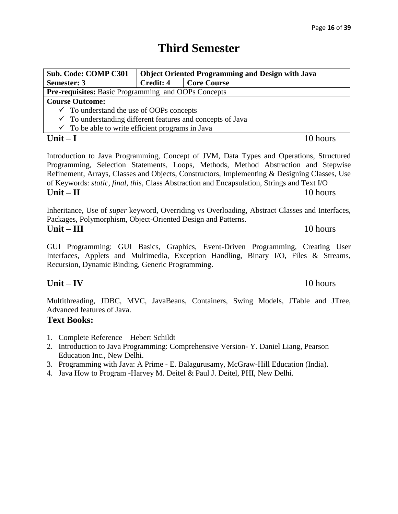# **Third Semester**

| <b>Sub. Code: COMP C301</b>                                           |           | <b>Object Oriented Programming and Design with Java</b>                                                                                                                                                                                                                                                                                                                             |
|-----------------------------------------------------------------------|-----------|-------------------------------------------------------------------------------------------------------------------------------------------------------------------------------------------------------------------------------------------------------------------------------------------------------------------------------------------------------------------------------------|
| <b>Semester: 3</b>                                                    | Credit: 4 | <b>Core Course</b>                                                                                                                                                                                                                                                                                                                                                                  |
| <b>Pre-requisites:</b> Basic Programming and OOPs Concepts            |           |                                                                                                                                                                                                                                                                                                                                                                                     |
| <b>Course Outcome:</b>                                                |           |                                                                                                                                                                                                                                                                                                                                                                                     |
| $\checkmark$ To understand the use of OOPs concepts                   |           |                                                                                                                                                                                                                                                                                                                                                                                     |
| $\checkmark$ To understanding different features and concepts of Java |           |                                                                                                                                                                                                                                                                                                                                                                                     |
| $\checkmark$ To be able to write efficient programs in Java           |           |                                                                                                                                                                                                                                                                                                                                                                                     |
| Unit $-I$                                                             |           | 10 hours                                                                                                                                                                                                                                                                                                                                                                            |
|                                                                       |           | Introduction to Java Programming, Concept of JVM, Data Types and Operations, Structured<br>Programming, Selection Statements, Loops, Methods, Method Abstraction and Stepwise<br>Refinement, Arrays, Classes and Objects, Constructors, Implementing & Designing Classes, Use<br>of Keywords: <i>static, final, this, Class Abstraction and Encapsulation, Strings and Text I/O</i> |
|                                                                       |           |                                                                                                                                                                                                                                                                                                                                                                                     |

Inheritance, Use of *super* keyword, Overriding vs Overloading, Abstract Classes and Interfaces, Packages, Polymorphism, Object-Oriented Design and Patterns. **Unit – III** 10 hours

**Unit – II** 10 hours

GUI Programming: GUI Basics, Graphics, Event-Driven Programming, Creating User Interfaces, Applets and Multimedia, Exception Handling, Binary I/O, Files & Streams, Recursion, Dynamic Binding, Generic Programming.

# **Unit – IV** 10 hours

Multithreading, JDBC, MVC, JavaBeans, Containers, Swing Models, JTable and JTree, Advanced features of Java.

# **Text Books:**

- 1. Complete Reference Hebert Schildt
- 2. Introduction to Java Programming: Comprehensive Version- Y. Daniel Liang, Pearson Education Inc., New Delhi.
- 3. Programming with Java: A Prime E. Balagurusamy, McGraw-Hill Education (India).
- 4. Java How to Program -Harvey M. Deitel & Paul J. Deitel, PHI, New Delhi.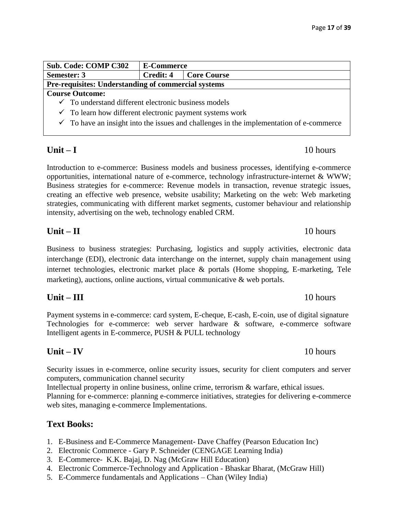| <b>Sub. Code: COMP C302</b>                                                                        | <b>E-Commerce</b> |                    |  |
|----------------------------------------------------------------------------------------------------|-------------------|--------------------|--|
| Semester: 3                                                                                        | <b>Credit: 4</b>  | <b>Core Course</b> |  |
| Pre-requisites: Understanding of commercial systems                                                |                   |                    |  |
| <b>Course Outcome:</b>                                                                             |                   |                    |  |
| $\checkmark$ To understand different electronic business models                                    |                   |                    |  |
| $\checkmark$ To learn how different electronic payment systems work                                |                   |                    |  |
| $\checkmark$ To have an insight into the issues and challenges in the implementation of e-commerce |                   |                    |  |

# **Unit – I** 10 hours

Introduction to e-commerce: Business models and business processes, identifying e-commerce opportunities, international nature of e-commerce, technology infrastructure-internet & WWW; Business strategies for e-commerce: Revenue models in transaction, revenue strategic issues, creating an effective web presence, website usability; Marketing on the web: Web marketing strategies, communicating with different market segments, customer behaviour and relationship intensity, advertising on the web, technology enabled CRM.

# **Unit – II** 10 hours

Business to business strategies: Purchasing, logistics and supply activities, electronic data interchange (EDI), electronic data interchange on the internet, supply chain management using internet technologies, electronic market place & portals (Home shopping, E-marketing, Tele marketing), auctions, online auctions, virtual communicative & web portals.

# **Unit – III** 10 hours

Payment systems in e-commerce: card system, E-cheque, E-cash, E-coin, use of digital signature Technologies for e-commerce: web server hardware & software, e-commerce software Intelligent agents in E-commerce, PUSH & PULL technology

# **Unit – IV** 10 hours

Security issues in e-commerce, online security issues, security for client computers and server computers, communication channel security

Intellectual property in online business, online crime, terrorism & warfare, ethical issues. Planning for e-commerce: planning e-commerce initiatives, strategies for delivering e-commerce web sites, managing e-commerce Implementations.

# **Text Books:**

- 1. E-Business and E-Commerce Management- Dave Chaffey (Pearson Education Inc)
- 2. Electronic Commerce Gary P. Schneider (CENGAGE Learning India)
- 3. E-Commerce- K.K. Bajaj, D. Nag (McGraw Hill Education)
- 4. Electronic Commerce-Technology and Application Bhaskar Bharat, (McGraw Hill)
- 5. E-Commerce fundamentals and Applications Chan (Wiley India)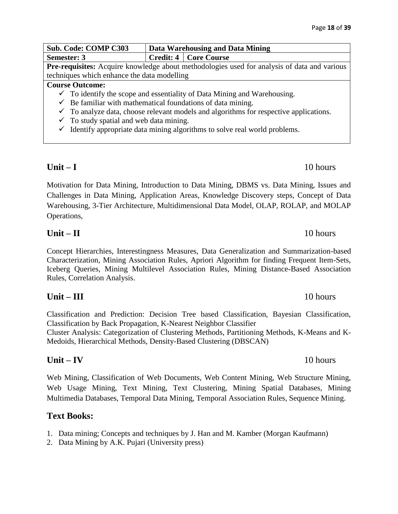| Sub. Code: COMP C303                                                                | Data Warehousing and Data Mining                                                                   |                                |  |
|-------------------------------------------------------------------------------------|----------------------------------------------------------------------------------------------------|--------------------------------|--|
| Semester: 3                                                                         |                                                                                                    | <b>Credit: 4   Core Course</b> |  |
|                                                                                     | <b>Pre-requisites:</b> Acquire knowledge about methodologies used for analysis of data and various |                                |  |
| techniques which enhance the data modelling                                         |                                                                                                    |                                |  |
| <b>Course Outcome:</b>                                                              |                                                                                                    |                                |  |
| $\checkmark$ To identify the scope and essentiality of Data Mining and Warehousing. |                                                                                                    |                                |  |
| $\checkmark$ Be familiar with mathematical foundations of data mining.              |                                                                                                    |                                |  |
|                                                                                     | $\checkmark$ To analyze data, choose relevant models and algorithms for respective applications.   |                                |  |
|                                                                                     | $\checkmark$ To study spatial and web data mining.                                                 |                                |  |

 $\checkmark$  Identify appropriate data mining algorithms to solve real world problems.

Motivation for Data Mining, Introduction to Data Mining, DBMS vs. Data Mining, Issues and Challenges in Data Mining, Application Areas, Knowledge Discovery steps, Concept of Data Warehousing, 3-Tier Architecture, Multidimensional Data Model, OLAP, ROLAP, and MOLAP Operations,

# **Unit – II** 10 hours

Concept Hierarchies, Interestingness Measures, Data Generalization and Summarization-based Characterization, Mining Association Rules, Apriori Algorithm for finding Frequent Item-Sets, Iceberg Queries, Mining Multilevel Association Rules, Mining Distance-Based Association Rules, Correlation Analysis.

# **Unit – III** 10 hours

Classification and Prediction: Decision Tree based Classification, Bayesian Classification, Classification by Back Propagation, K-Nearest Neighbor Classifier Cluster Analysis: Categorization of Clustering Methods, Partitioning Methods, K-Means and K-Medoids, Hierarchical Methods, Density-Based Clustering (DBSCAN)

# **Unit – IV** 10 hours

Web Mining, Classification of Web Documents, Web Content Mining, Web Structure Mining, Web Usage Mining, Text Mining, Text Clustering, Mining Spatial Databases, Mining Multimedia Databases, Temporal Data Mining, Temporal Association Rules, Sequence Mining.

# **Text Books:**

- 1. Data mining; Concepts and techniques by J. Han and M. Kamber (Morgan Kaufmann)
- 2. Data Mining by A.K. Pujari (University press)

# **Unit – I** 10 hours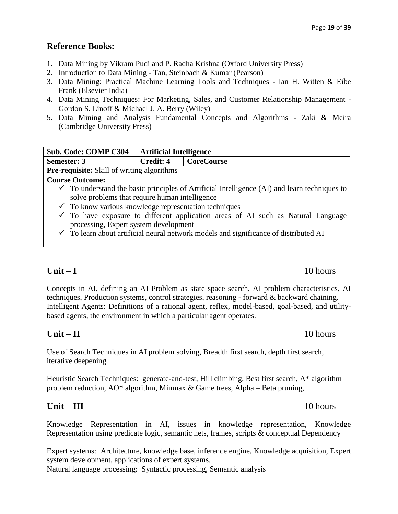# **Reference Books:**

- 1. Data Mining by Vikram Pudi and P. Radha Krishna (Oxford University Press)
- 2. Introduction to Data Mining Tan, Steinbach & Kumar (Pearson)
- 3. Data Mining: Practical Machine Learning Tools and Techniques Ian H. Witten & Eibe Frank (Elsevier India)
- 4. Data Mining Techniques: For Marketing, Sales, and Customer Relationship Management Gordon S. Linoff & Michael J. A. Berry (Wiley)
- 5. Data Mining and Analysis Fundamental Concepts and Algorithms Zaki & Meira (Cambridge University Press)

| <b>Sub. Code: COMP C304</b>                                                                             | <b>Artificial Intelligence</b>                    |                                                                                             |  |
|---------------------------------------------------------------------------------------------------------|---------------------------------------------------|---------------------------------------------------------------------------------------------|--|
| Semester: 3                                                                                             | <b>Credit: 4</b>                                  | <b>CoreCourse</b>                                                                           |  |
|                                                                                                         | <b>Pre-requisite:</b> Skill of writing algorithms |                                                                                             |  |
| <b>Course Outcome:</b>                                                                                  |                                                   |                                                                                             |  |
| $\checkmark$ To understand the basic principles of Artificial Intelligence (AI) and learn techniques to |                                                   |                                                                                             |  |
| solve problems that require human intelligence                                                          |                                                   |                                                                                             |  |
| $\checkmark$ To know various knowledge representation techniques                                        |                                                   |                                                                                             |  |
|                                                                                                         |                                                   | $\checkmark$ To have exposure to different application areas of AI such as Natural Language |  |

processing, Expert system development  $\checkmark$  To learn about artificial neural network models and significance of distributed AI

# **Unit – I** 10 hours

Concepts in AI, defining an AI Problem as state space search, AI problem characteristics, AI techniques, Production systems, control strategies, reasoning - forward & backward chaining. Intelligent Agents: Definitions of a rational agent, reflex, model-based, goal-based, and utilitybased agents, the environment in which a particular agent operates.

# **Unit – II** 10 hours

Use of Search Techniques in AI problem solving, Breadth first search, depth first search, iterative deepening.

Heuristic Search Techniques: generate-and-test, Hill climbing, Best first search, A\* algorithm problem reduction, AO\* algorithm, Minmax & Game trees, Alpha – Beta pruning,

# **Unit – III** 10 hours

Knowledge Representation in AI, issues in knowledge representation, Knowledge Representation using predicate logic, semantic nets, frames, scripts & conceptual Dependency

Expert systems: Architecture, knowledge base, inference engine, Knowledge acquisition, Expert system development, applications of expert systems.

Natural language processing: Syntactic processing, Semantic analysis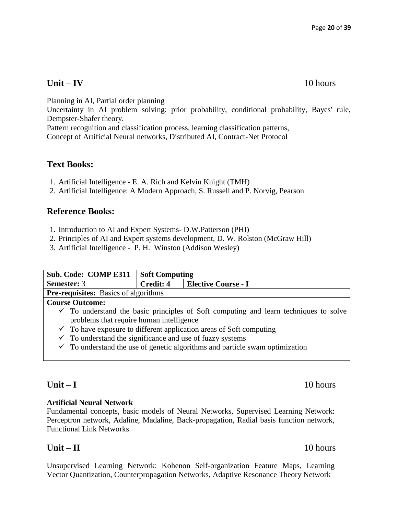# **Unit – IV** 10 hours

Planning in AI, Partial order planning

Uncertainty in AI problem solving: prior probability, conditional probability, Bayes' rule, Dempster-Shafer theory.

Pattern recognition and classification process, learning classification patterns,

Concept of Artificial Neural networks, Distributed AI, Contract-Net Protocol

# **Text Books:**

- 1. Artificial Intelligence E. A. Rich and Kelvin Knight (TMH)
- 2. Artificial Intelligence: A Modern Approach, S. Russell and P. Norvig, Pearson

# **Reference Books:**

- 1. Introduction to AI and Expert Systems- D.W.Patterson (PHI)
- 2. Principles of AI and Expert systems development, D. W. Rolston (McGraw Hill)
- 3. Artificial Intelligence P. H. Winston (Addison Wesley)

| <b>Sub. Code: COMP E311</b>                                                                     | <b>Soft Computing</b>              |  |
|-------------------------------------------------------------------------------------------------|------------------------------------|--|
| <b>Semester: 3</b>                                                                              | Credit: 4<br>  Elective Course - I |  |
| <b>Pre-requisites:</b> Basics of algorithms                                                     |                                    |  |
| <b>Course Outcome:</b>                                                                          |                                    |  |
| $\checkmark$ To understand the basic principles of Soft computing and learn techniques to solve |                                    |  |

- problems that require human intelligence
- $\checkmark$  To have exposure to different application areas of Soft computing
- $\checkmark$  To understand the significance and use of fuzzy systems
- $\checkmark$  To understand the use of genetic algorithms and particle swam optimization

### **Artificial Neural Network**

Fundamental concepts, basic models of Neural Networks, Supervised Learning Network: Perceptron network, Adaline, Madaline, Back-propagation, Radial basis function network, Functional Link Networks

# **Unit – II** 10 hours

Unsupervised Learning Network: Kohenon Self-organization Feature Maps, Learning Vector Quantization, Counterpropagation Networks, Adaptive Resonance Theory Network

### **Unit – I** 10 hours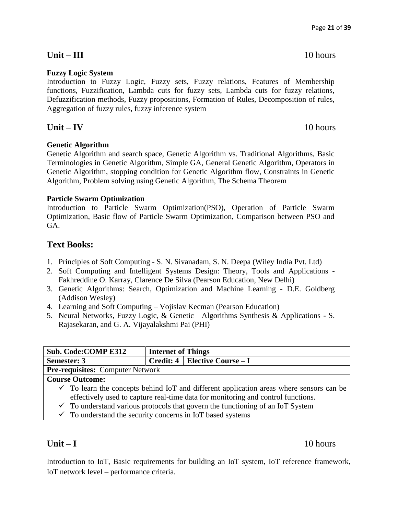# **Unit – III** 10 hours

### **Fuzzy Logic System**

Introduction to Fuzzy Logic, Fuzzy sets, Fuzzy relations, Features of Membership functions, Fuzzification, Lambda cuts for fuzzy sets, Lambda cuts for fuzzy relations, Defuzzification methods, Fuzzy propositions, Formation of Rules, Decomposition of rules, Aggregation of fuzzy rules, fuzzy inference system

# **Unit – IV** 10 hours

### **Genetic Algorithm**

Genetic Algorithm and search space, Genetic Algorithm vs. Traditional Algorithms, Basic Terminologies in Genetic Algorithm, Simple GA, General Genetic Algorithm, Operators in Genetic Algorithm, stopping condition for Genetic Algorithm flow, Constraints in Genetic Algorithm, Problem solving using Genetic Algorithm, The Schema Theorem

### **Particle Swarm Optimization**

Introduction to Particle Swarm Optimization(PSO), Operation of Particle Swarm Optimization, Basic flow of Particle Swarm Optimization, Comparison between PSO and GA.

# **Text Books:**

- 1. Principles of Soft Computing S. N. Sivanadam, S. N. Deepa (Wiley India Pvt. Ltd)
- 2. Soft Computing and Intelligent Systems Design: Theory, Tools and Applications Fakhreddine O. Karray, Clarence De Silva (Pearson Education, New Delhi)
- 3. Genetic Algorithms: Search, Optimization and Machine Learning D.E. Goldberg (Addison Wesley)
- 4. Learning and Soft Computing Vojislav Kecman (Pearson Education)
- 5. Neural Networks, Fuzzy Logic, & Genetic Algorithms Synthesis & Applications S. Rajasekaran, and G. A. Vijayalakshmi Pai (PHI)

| <b>Sub. Code: COMP E312</b>                                           | <b>Internet of Things</b> |                                                                                                                                                                                                                                                                                     |
|-----------------------------------------------------------------------|---------------------------|-------------------------------------------------------------------------------------------------------------------------------------------------------------------------------------------------------------------------------------------------------------------------------------|
| Semester: 3                                                           |                           | <b>Credit: 4   Elective Course – I</b>                                                                                                                                                                                                                                              |
| <b>Pre-requisites:</b> Computer Network                               |                           |                                                                                                                                                                                                                                                                                     |
| <b>Course Outcome:</b>                                                |                           |                                                                                                                                                                                                                                                                                     |
| $\checkmark$ To understand the security concerns in IoT based systems |                           | $\checkmark$ To learn the concepts behind IoT and different application areas where sensors can be<br>effectively used to capture real-time data for monitoring and control functions.<br>$\checkmark$ To understand various protocols that govern the functioning of an IoT System |

# **Unit – I** 10 hours

Introduction to IoT, Basic requirements for building an IoT system, IoT reference framework, IoT network level – performance criteria.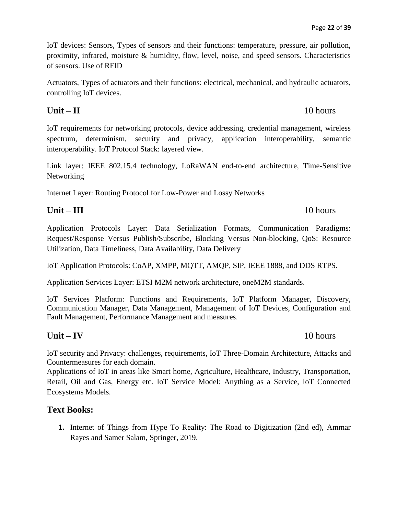IoT devices: Sensors, Types of sensors and their functions: temperature, pressure, air pollution, proximity, infrared, moisture & humidity, flow, level, noise, and speed sensors. Characteristics of sensors. Use of RFID

Actuators, Types of actuators and their functions: electrical, mechanical, and hydraulic actuators, controlling IoT devices.

# **Unit – II** 10 hours

IoT requirements for networking protocols, device addressing, credential management, wireless spectrum, determinism, security and privacy, application interoperability, semantic interoperability. IoT Protocol Stack: layered view.

Link layer: IEEE 802.15.4 technology, LoRaWAN end-to-end architecture, Time-Sensitive Networking

Internet Layer: Routing Protocol for Low-Power and Lossy Networks

# **Unit – III** 10 hours

Application Protocols Layer: Data Serialization Formats, Communication Paradigms: Request/Response Versus Publish/Subscribe, Blocking Versus Non-blocking, QoS: Resource Utilization, Data Timeliness, Data Availability, Data Delivery

IoT Application Protocols: CoAP, XMPP, MQTT, AMQP, SIP, IEEE 1888, and DDS RTPS.

Application Services Layer: ETSI M2M network architecture, oneM2M standards.

IoT Services Platform: Functions and Requirements, IoT Platform Manager, Discovery, Communication Manager, Data Management, Management of IoT Devices, Configuration and Fault Management, Performance Management and measures.

# **Unit – IV** 10 hours

IoT security and Privacy: challenges, requirements, IoT Three-Domain Architecture, Attacks and Countermeasures for each domain.

Applications of IoT in areas like Smart home, Agriculture, Healthcare, Industry, Transportation, Retail, Oil and Gas, Energy etc. IoT Service Model: Anything as a Service, IoT Connected Ecosystems Models.

# **Text Books:**

**1.** Internet of Things from Hype To Reality: The Road to Digitization (2nd ed), Ammar Rayes and Samer Salam, Springer, 2019.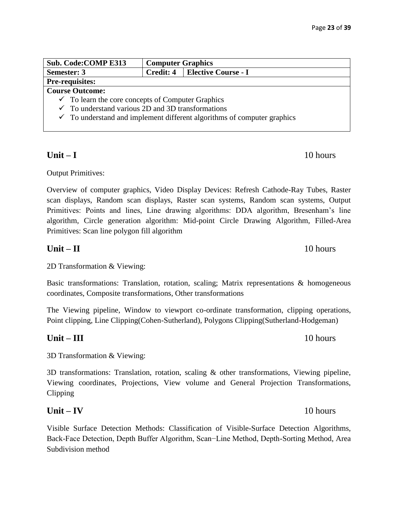|                                                              | Sub. Code: COMP E313                                                               | <b>Computer Graphics</b>        |  |
|--------------------------------------------------------------|------------------------------------------------------------------------------------|---------------------------------|--|
| <b>Semester: 3</b>                                           |                                                                                    | Credit: 4   Elective Course - I |  |
|                                                              | <b>Pre-requisites:</b>                                                             |                                 |  |
| <b>Course Outcome:</b>                                       |                                                                                    |                                 |  |
| $\checkmark$ To learn the core concepts of Computer Graphics |                                                                                    |                                 |  |
| $\checkmark$ To understand various 2D and 3D transformations |                                                                                    |                                 |  |
|                                                              | $\checkmark$ To understand and implement different algorithms of computer graphics |                                 |  |

# **Unit – I** 10 hours

Output Primitives:

Overview of computer graphics, Video Display Devices: Refresh Cathode-Ray Tubes, Raster scan displays, Random scan displays, Raster scan systems, Random scan systems, Output Primitives: Points and lines, Line drawing algorithms: DDA algorithm, Bresenham's line algorithm, Circle generation algorithm: Mid-point Circle Drawing Algorithm, Filled-Area Primitives: Scan line polygon fill algorithm

# **Unit – II** 10 hours

2D Transformation & Viewing:

Basic transformations: Translation, rotation, scaling; Matrix representations & homogeneous coordinates, Composite transformations, Other transformations

The Viewing pipeline, Window to viewport co-ordinate transformation, clipping operations, Point clipping, Line Clipping(Cohen-Sutherland), Polygons Clipping(Sutherland-Hodgeman)

# **Unit – III** 10 hours

3D Transformation & Viewing:

3D transformations: Translation, rotation, scaling & other transformations, Viewing pipeline, Viewing coordinates, Projections, View volume and General Projection Transformations, Clipping

# **Unit – IV** 10 hours

Visible Surface Detection Methods: Classification of Visible-Surface Detection Algorithms, Back-Face Detection, Depth Buffer Algorithm, Scan−Line Method, Depth-Sorting Method, Area Subdivision method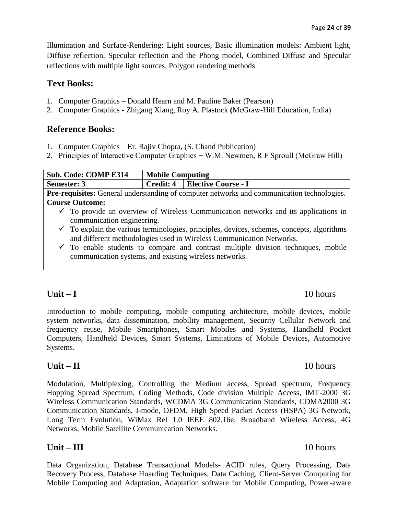Illumination and Surface-Rendering: Light sources, Basic illumination models: Ambient light, Diffuse reflection, Specular reflection and the Phong model, Combined Diffuse and Specular reflections with multiple light sources, Polygon rendering methods

# **Text Books:**

- 1. Computer Graphics Donald Hearn and M. Pauline Baker (Pearson)
- 2. Computer Graphics *-* Zhigang Xiang, Roy A. Plastock **(**McGraw-Hill Education, India)

### **Reference Books:**

- 1. Computer Graphics Er. Rajiv Chopra, (S. Chand Publication)
- 2. Principles of Interactive Computer Graphics − W.M. Newmen, R F Sproull (McGraw Hill)

| <b>Sub. Code: COMP E314</b>                                                                       | <b>Mobile Computing</b> |                                 |  |
|---------------------------------------------------------------------------------------------------|-------------------------|---------------------------------|--|
| Semester: 3                                                                                       |                         | Credit: 4   Elective Course - I |  |
| <b>Pre-requisites:</b> General understanding of computer networks and communication technologies. |                         |                                 |  |
| <b>Course Outcome:</b>                                                                            |                         |                                 |  |
| $\checkmark$ To provide an overview of Wireless Communication networks and its applications in    |                         |                                 |  |
| communication engineering.                                                                        |                         |                                 |  |

- $\checkmark$  To explain the various terminologies, principles, devices, schemes, concepts, algorithms and different methodologies used in Wireless Communication Networks.
- $\checkmark$  To enable students to compare and contrast multiple division techniques, mobile communication systems, and existing wireless networks.

# **Unit – I** 10 hours

Introduction to mobile computing, mobile computing architecture, mobile devices, mobile system networks, data dissemination, mobility management, Security Cellular Network and frequency reuse, Mobile Smartphones, Smart Mobiles and Systems, Handheld Pocket Computers, Handheld Devices, Smart Systems, Limitations of Mobile Devices, Automotive Systems.

# **Unit – II** 10 hours

Modulation, Multiplexing, Controlling the Medium access, Spread spectrum, Frequency Hopping Spread Spectrum, Coding Methods, Code division Multiple Access, IMT-2000 3G Wireless Communication Standards, WCDMA 3G Communication Standards, CDMA2000 3G Communication Standards, I-mode, OFDM, High Speed Packet Access (HSPA) 3G Network, Long Term Evolution, WiMax Rel 1.0 IEEE 802.16e, Broadband Wireless Access, 4G Networks, Mobile Satellite Communication Networks.

# **Unit – III** 10 hours

Data Organization, Database Transactional Models- ACID rules, Query Processing, Data Recovery Process, Database Hoarding Techniques, Data Caching, Client-Server Computing for Mobile Computing and Adaptation, Adaptation software for Mobile Computing, Power-aware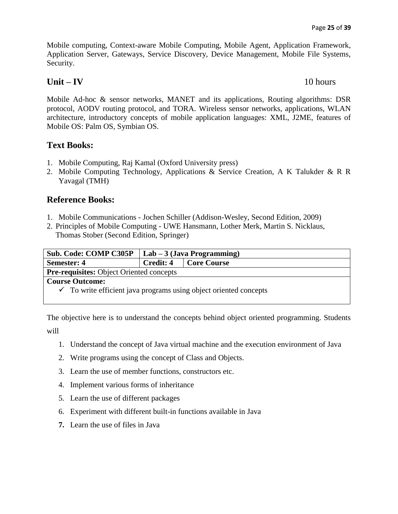Mobile computing, Context-aware Mobile Computing, Mobile Agent, Application Framework, Application Server, Gateways, Service Discovery, Device Management, Mobile File Systems, Security.

# **Unit – IV** 10 hours

Mobile Ad-hoc & sensor networks, MANET and its applications, Routing algorithms: DSR protocol, AODV routing protocol, and TORA. Wireless sensor networks, applications, WLAN architecture, introductory concepts of mobile application languages: XML, J2ME, features of Mobile OS: Palm OS, Symbian OS.

# **Text Books:**

- 1. Mobile Computing, Raj Kamal (Oxford University press)
- 2. Mobile Computing Technology, Applications & Service Creation, A K Talukder & R R Yavagal (TMH)

# **Reference Books:**

- 1. Mobile Communications Jochen Schiller (Addison-Wesley, Second Edition, 2009)
- 2. Principles of Mobile Computing UWE Hansmann, Lother Merk, Martin S. Nicklaus, Thomas Stober (Second Edition, Springer)

| <b>Sub. Code: COMP C305P</b>                                                 | $Lab - 3$ (Java Programming) |  |
|------------------------------------------------------------------------------|------------------------------|--|
| <b>Semester: 4</b>                                                           | Credit: 4<br>  Core Course   |  |
| <b>Pre-requisites:</b> Object Oriented concepts                              |                              |  |
| <b>Course Outcome:</b>                                                       |                              |  |
| $\checkmark$ To write efficient java programs using object oriented concepts |                              |  |

The objective here is to understand the concepts behind object oriented programming. Students will

- 1. Understand the concept of Java virtual machine and the execution environment of Java
- 2. Write programs using the concept of Class and Objects.
- 3. Learn the use of member functions, constructors etc.
- 4. Implement various forms of inheritance
- 5. Learn the use of different packages
- 6. Experiment with different built-in functions available in Java
- **7.** Learn the use of files in Java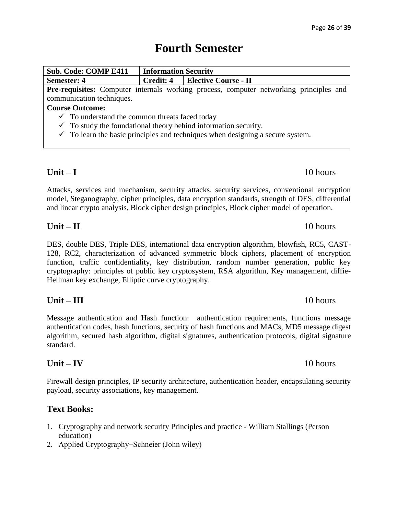# **Fourth Semester**

| <b>Sub. Code: COMP E411</b>                                                                   | <b>Information Security</b>      |  |  |
|-----------------------------------------------------------------------------------------------|----------------------------------|--|--|
| <b>Semester: 4</b>                                                                            | Credit: 4   Elective Course - II |  |  |
| <b>Pre-requisites:</b> Computer internals working process, computer networking principles and |                                  |  |  |
| communication techniques.                                                                     |                                  |  |  |
| <b>Course Outcome:</b>                                                                        |                                  |  |  |
| $\checkmark$ To understand the common threats faced today                                     |                                  |  |  |
| $\checkmark$ To study the foundational theory behind information security.                    |                                  |  |  |
| $\sqrt{2}$ To learn the begin principles and techniques when decising a secure system         |                                  |  |  |

To learn the basic principles and techniques when designing a secure system.

# **Unit – I** 10 hours

Attacks, services and mechanism, security attacks, security services, conventional encryption model, Steganography, cipher principles, data encryption standards, strength of DES, differential and linear crypto analysis, Block cipher design principles, Block cipher model of operation.

# **Unit – II** 10 hours

DES, double DES, Triple DES, international data encryption algorithm, blowfish, RC5, CAST-128, RC2, characterization of advanced symmetric block ciphers, placement of encryption function, traffic confidentiality, key distribution, random number generation, public key cryptography: principles of public key cryptosystem, RSA algorithm, Key management, diffie-Hellman key exchange, Elliptic curve cryptography.

# **Unit – III** 10 hours

Message authentication and Hash function: authentication requirements, functions message authentication codes, hash functions, security of hash functions and MACs, MD5 message digest algorithm, secured hash algorithm, digital signatures, authentication protocols, digital signature standard.

# **Unit – IV** 10 hours

Firewall design principles, IP security architecture, authentication header, encapsulating security payload, security associations, key management.

# **Text Books:**

- 1. Cryptography and network security Principles and practice William Stallings (Person education)
- 2. Applied Cryptography−Schneier (John wiley)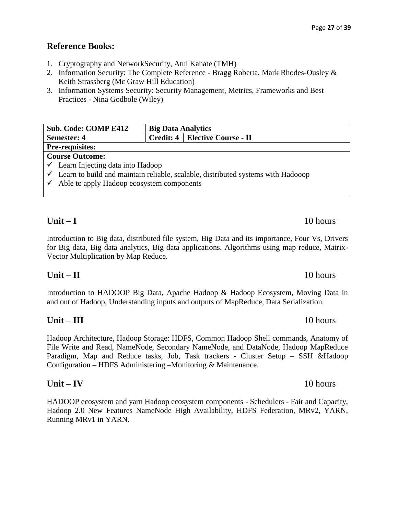# **Reference Books:**

- 1. Cryptography and NetworkSecurity, Atul Kahate (TMH)
- 2. Information Security: The Complete Reference Bragg Roberta, Mark Rhodes-Ousley & Keith Strassberg (Mc Graw Hill Education)
- 3. Information Systems Security: Security Management, Metrics, Frameworks and Best Practices - Nina Godbole (Wiley)

| <b>Sub. Code: COMP E412</b>                                                        |                                  | <b>Big Data Analytics</b> |  |
|------------------------------------------------------------------------------------|----------------------------------|---------------------------|--|
| <b>Semester: 4</b>                                                                 | Credit: 4   Elective Course - II |                           |  |
| <b>Pre-requisites:</b>                                                             |                                  |                           |  |
| <b>Course Outcome:</b>                                                             |                                  |                           |  |
| $\checkmark$ Learn Injecting data into Hadoop                                      |                                  |                           |  |
| ✓ Learn to build and maintain reliable, scalable, distributed systems with Hadooop |                                  |                           |  |
| $\checkmark$ Able to apply Hadoop ecosystem components                             |                                  |                           |  |

# **Unit – I** 10 hours

Introduction to Big data, distributed file system, Big Data and its importance, Four Vs, Drivers for Big data, Big data analytics, Big data applications. Algorithms using map reduce, Matrix-Vector Multiplication by Map Reduce.

# **Unit – II** 10 hours

Introduction to HADOOP Big Data, Apache Hadoop & Hadoop Ecosystem, Moving Data in and out of Hadoop, Understanding inputs and outputs of MapReduce, Data Serialization.

# **Unit – III** 10 hours

Hadoop Architecture, Hadoop Storage: HDFS, Common Hadoop Shell commands, Anatomy of File Write and Read, NameNode, Secondary NameNode, and DataNode, Hadoop MapReduce Paradigm, Map and Reduce tasks, Job, Task trackers - Cluster Setup – SSH &Hadoop Configuration – HDFS Administering –Monitoring & Maintenance.

# **Unit – IV** 10 hours

HADOOP ecosystem and yarn Hadoop ecosystem components - Schedulers - Fair and Capacity, Hadoop 2.0 New Features NameNode High Availability, HDFS Federation, MRv2, YARN, Running MRv1 in YARN.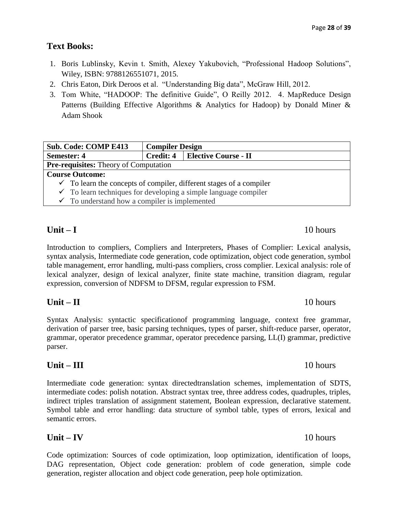# **Text Books:**

- 1. Boris Lublinsky, Kevin t. Smith, Alexey Yakubovich, "Professional Hadoop Solutions", Wiley, ISBN: 9788126551071, 2015.
- 2. Chris Eaton, Dirk Deroos et al. "Understanding Big data", McGraw Hill, 2012.
- 3. Tom White, "HADOOP: The definitive Guide", O Reilly 2012. 4. MapReduce Design Patterns (Building Effective Algorithms & Analytics for Hadoop) by Donald Miner & Adam Shook

|                                                                                | <b>Sub. Code: COMP E413</b>                                                | <b>Compiler Design</b>           |  |  |
|--------------------------------------------------------------------------------|----------------------------------------------------------------------------|----------------------------------|--|--|
| <b>Semester: 4</b>                                                             |                                                                            | Credit: 4   Elective Course - II |  |  |
|                                                                                | <b>Pre-requisites:</b> Theory of Computation                               |                                  |  |  |
| <b>Course Outcome:</b>                                                         |                                                                            |                                  |  |  |
| $\checkmark$ To learn the concepts of compiler, different stages of a compiler |                                                                            |                                  |  |  |
|                                                                                | $\checkmark$ To learn techniques for developing a simple language compiler |                                  |  |  |
|                                                                                | $\checkmark$ To understand how a compiler is implemented                   |                                  |  |  |

# **Unit – I** 10 hours

Introduction to compliers, Compliers and Interpreters, Phases of Complier: Lexical analysis, syntax analysis, Intermediate code generation, code optimization, object code generation, symbol table management, error handling, multi-pass compliers, cross complier. Lexical analysis: role of lexical analyzer, design of lexical analyzer, finite state machine, transition diagram, regular expression, conversion of NDFSM to DFSM, regular expression to FSM.

# Syntax Analysis: syntactic specificationof programming language, context free grammar, derivation of parser tree, basic parsing techniques, types of parser, shift-reduce parser, operator, grammar, operator precedence grammar, operator precedence parsing, LL(I) grammar, predictive parser.

**Unit – II** 10 hours

### Intermediate code generation: syntax directedtranslation schemes, implementation of SDTS, intermediate codes: polish notation. Abstract syntax tree, three address codes, quadruples, triples, indirect triples translation of assignment statement, Boolean expression, declarative statement. Symbol table and error handling: data structure of symbol table, types of errors, lexical and semantic errors.

Code optimization: Sources of code optimization, loop optimization, identification of loops, DAG representation, Object code generation: problem of code generation, simple code generation, register allocation and object code generation, peep hole optimization.

# **Unit – III** 10 hours

# **Unit – IV** 10 hours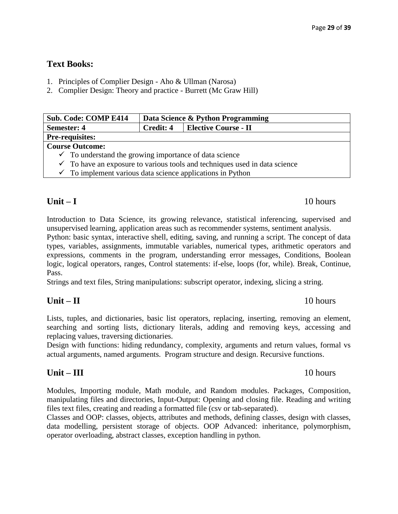# **Text Books:**

- 1. Principles of Complier Design Aho & Ullman (Narosa)
- 2. Complier Design: Theory and practice Burrett (Mc Graw Hill)

| <b>Sub. Code: COMP E414</b>                                                           | Data Science & Python Programming |  |
|---------------------------------------------------------------------------------------|-----------------------------------|--|
| <b>Semester: 4</b>                                                                    | Credit: 4   Elective Course - II  |  |
| <b>Pre-requisites:</b>                                                                |                                   |  |
| <b>Course Outcome:</b>                                                                |                                   |  |
| $\checkmark$ To understand the growing importance of data science                     |                                   |  |
| $\checkmark$ To have an exposure to various tools and techniques used in data science |                                   |  |
| $\checkmark$ To implement various data science applications in Python                 |                                   |  |

# **Unit – I** 10 hours

Introduction to Data Science, its growing relevance, statistical inferencing, supervised and unsupervised learning, application areas such as recommender systems, sentiment analysis.

Python: basic syntax, interactive shell, editing, saving, and running a script. The concept of data types, variables, assignments, immutable variables, numerical types, arithmetic operators and expressions, comments in the program, understanding error messages, Conditions, Boolean logic, logical operators, ranges, Control statements: if-else, loops (for, while). Break, Continue, Pass.

Strings and text files, String manipulations: subscript operator, indexing, slicing a string.

# **Unit – II** 10 hours

Lists, tuples, and dictionaries, basic list operators, replacing, inserting, removing an element, searching and sorting lists, dictionary literals, adding and removing keys, accessing and replacing values, traversing dictionaries.

Design with functions: hiding redundancy, complexity, arguments and return values, formal vs actual arguments, named arguments. Program structure and design. Recursive functions.

# **Unit – III** 10 hours

Modules, Importing module, Math module, and Random modules. Packages, Composition, manipulating files and directories, Input-Output: Opening and closing file. Reading and writing files text files, creating and reading a formatted file (csv or tab-separated).

Classes and OOP: classes, objects, attributes and methods, defining classes, design with classes, data modelling, persistent storage of objects. OOP Advanced: inheritance, polymorphism, operator overloading, abstract classes, exception handling in python.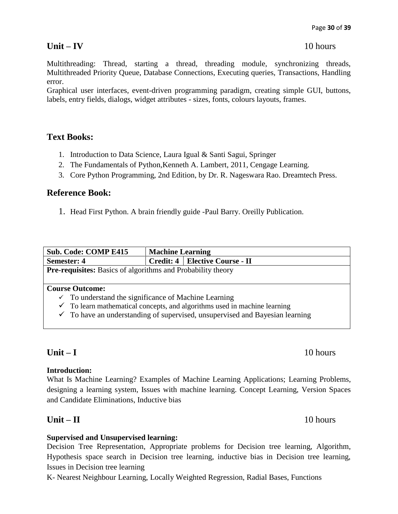Multithreading: Thread, starting a thread, threading module, synchronizing threads, Multithreaded Priority Queue, Database Connections, Executing queries, Transactions, Handling error.

Graphical user interfaces, event-driven programming paradigm, creating simple GUI, buttons, labels, entry fields, dialogs, widget attributes - sizes, fonts, colours layouts, frames.

# **Text Books:**

- 1. Introduction to Data Science, Laura Igual & Santi Sagui, Springer
- 2. The Fundamentals of Python,Kenneth A. Lambert, 2011, Cengage Learning.
- 3. Core Python Programming, 2nd Edition, by Dr. R. Nageswara Rao. Dreamtech Press.

### **Reference Book:**

1. Head First Python. A brain friendly guide -Paul Barry. Oreilly Publication.

| <b>Sub. Code: COMP E415</b>                                                             | <b>Machine Learning</b> |                                  |  |
|-----------------------------------------------------------------------------------------|-------------------------|----------------------------------|--|
| <b>Semester: 4</b>                                                                      |                         | Credit: 4   Elective Course - II |  |
| <b>Pre-requisites:</b> Basics of algorithms and Probability theory                      |                         |                                  |  |
|                                                                                         |                         |                                  |  |
| <b>Course Outcome:</b>                                                                  |                         |                                  |  |
| To understand the significance of Machine Learning<br>✓                                 |                         |                                  |  |
| $\checkmark$ To learn mathematical concepts, and algorithms used in machine learning    |                         |                                  |  |
| $\checkmark$ To have an understanding of supervised, unsupervised and Bayesian learning |                         |                                  |  |

### **Introduction:**

What Is Machine Learning? Examples of Machine Learning Applications; Learning Problems, designing a learning system, Issues with machine learning. Concept Learning, Version Spaces and Candidate Eliminations, Inductive bias

# **Unit – II** 10 hours

### **Supervised and Unsupervised learning:**

Decision Tree Representation, Appropriate problems for Decision tree learning, Algorithm, Hypothesis space search in Decision tree learning, inductive bias in Decision tree learning, Issues in Decision tree learning

K- Nearest Neighbour Learning, Locally Weighted Regression, Radial Bases, Functions

# **Unit – I** 10 hours

# **Unit – IV** 10 hours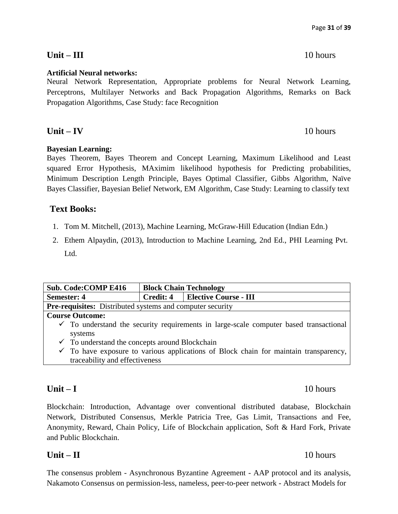### **Artificial Neural networks:**

Neural Network Representation, Appropriate problems for Neural Network Learning, Perceptrons, Multilayer Networks and Back Propagation Algorithms, Remarks on Back Propagation Algorithms, Case Study: face Recognition

**Unit – IV** 10 hours

### **Bayesian Learning:**

Bayes Theorem, Bayes Theorem and Concept Learning, Maximum Likelihood and Least squared Error Hypothesis, MAximim likelihood hypothesis for Predicting probabilities, Minimum Description Length Principle, Bayes Optimal Classifier, Gibbs Algorithm, Naïve Bayes Classifier, Bayesian Belief Network, EM Algorithm, Case Study: Learning to classify text

# **Text Books:**

- 1. Tom M. Mitchell, (2013), Machine Learning, McGraw-Hill Education (Indian Edn.)
- 2. Ethem Alpaydin, (2013), Introduction to Machine Learning, 2nd Ed., PHI Learning Pvt. Ltd.

| <b>Sub. Code: COMP E416</b>                                                                      | <b>Block Chain Technology</b>                                    |  |  |  |
|--------------------------------------------------------------------------------------------------|------------------------------------------------------------------|--|--|--|
| <b>Semester: 4</b>                                                                               | <b>Elective Course - III</b><br>Credit: 4                        |  |  |  |
|                                                                                                  | <b>Pre-requisites:</b> Distributed systems and computer security |  |  |  |
| <b>Course Outcome:</b>                                                                           |                                                                  |  |  |  |
| $\checkmark$ To understand the security requirements in large-scale computer based transactional |                                                                  |  |  |  |
| systems                                                                                          |                                                                  |  |  |  |
| $\checkmark$ To understand the concepts around Blockchain                                        |                                                                  |  |  |  |
| $\checkmark$ To have exposure to various applications of Block chain for maintain transparency,  |                                                                  |  |  |  |
| traceability and effectiveness                                                                   |                                                                  |  |  |  |

Blockchain: Introduction, Advantage over conventional distributed database, Blockchain Network, Distributed Consensus, Merkle Patricia Tree, Gas Limit, Transactions and Fee, Anonymity, Reward, Chain Policy, Life of Blockchain application, Soft & Hard Fork, Private and Public Blockchain.

# **Unit – II** 10 hours

The consensus problem - Asynchronous Byzantine Agreement - AAP protocol and its analysis, Nakamoto Consensus on permission-less, nameless, peer-to-peer network - Abstract Models for

# **Unit – III** 10 hours

### **Unit – I** 10 hours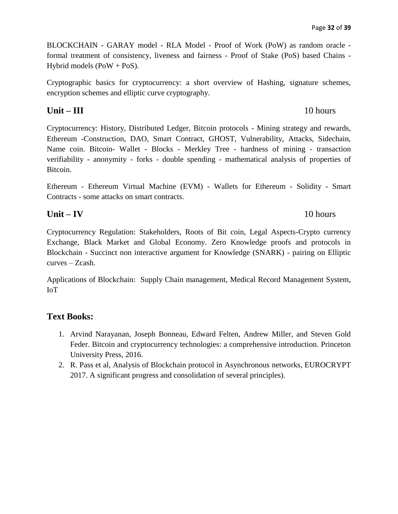Page **32** of **39**

BLOCKCHAIN - GARAY model - RLA Model - Proof of Work (PoW) as random oracle formal treatment of consistency, liveness and fairness - Proof of Stake (PoS) based Chains - Hybrid models (PoW + PoS).

Cryptographic basics for cryptocurrency: a short overview of Hashing, signature schemes, encryption schemes and elliptic curve cryptography.

# **Unit – III** 10 hours

Cryptocurrency: History, Distributed Ledger, Bitcoin protocols - Mining strategy and rewards, Ethereum -Construction, DAO, Smart Contract, GHOST, Vulnerability, Attacks, Sidechain, Name coin. Bitcoin- Wallet - Blocks - Merkley Tree - hardness of mining - transaction verifiability - anonymity - forks - double spending - mathematical analysis of properties of Bitcoin.

Ethereum - Ethereum Virtual Machine (EVM) - Wallets for Ethereum - Solidity - Smart Contracts - some attacks on smart contracts.

# **Unit – IV** 10 hours

Cryptocurrency Regulation: Stakeholders, Roots of Bit coin, Legal Aspects-Crypto currency Exchange, Black Market and Global Economy. Zero Knowledge proofs and protocols in Blockchain - Succinct non interactive argument for Knowledge (SNARK) - pairing on Elliptic curves – Zcash.

Applications of Blockchain: Supply Chain management, Medical Record Management System, IoT

# **Text Books:**

- 1. Arvind Narayanan, Joseph Bonneau, Edward Felten, Andrew Miller, and Steven Gold Feder. Bitcoin and cryptocurrency technologies: a comprehensive introduction. Princeton University Press, 2016.
- 2. R. Pass et al, Analysis of Blockchain protocol in Asynchronous networks, EUROCRYPT 2017. A significant progress and consolidation of several principles).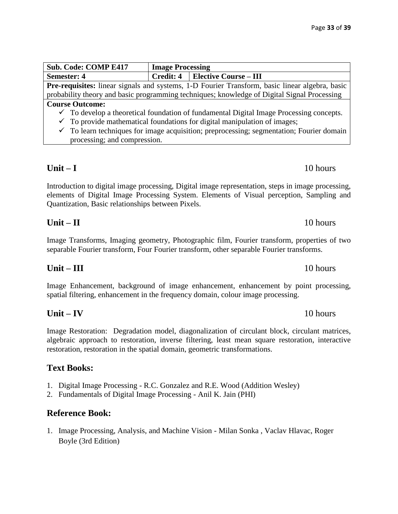| <b>Sub. Code: COMP E417</b>                                                                           | <b>Image Processing</b> |                                          |  |
|-------------------------------------------------------------------------------------------------------|-------------------------|------------------------------------------|--|
| <b>Semester: 4</b>                                                                                    |                         | <b>Credit: 4</b>   Elective Course – III |  |
| <b>Pre-requisites:</b> linear signals and systems, 1-D Fourier Transform, basic linear algebra, basic |                         |                                          |  |
| probability theory and basic programming techniques; knowledge of Digital Signal Processing           |                         |                                          |  |
| <b>Course Outcome:</b>                                                                                |                         |                                          |  |
| $\checkmark$ To develop a theoretical foundation of fundamental Digital Image Processing concepts.    |                         |                                          |  |
| $\checkmark$ To provide mathematical foundations for digital manipulation of images;                  |                         |                                          |  |

 $\checkmark$  To learn techniques for image acquisition; preprocessing; segmentation; Fourier domain processing; and compression.

Introduction to digital image processing, Digital image representation, steps in image processing, elements of Digital Image Processing System. Elements of Visual perception, Sampling and Quantization, Basic relationships between Pixels.

Image Transforms, Imaging geometry, Photographic film, Fourier transform, properties of two separable Fourier transform, Four Fourier transform, other separable Fourier transforms.

Image Enhancement, background of image enhancement, enhancement by point processing, spatial filtering, enhancement in the frequency domain, colour image processing.

Image Restoration: Degradation model, diagonalization of circulant block, circulant matrices, algebraic approach to restoration, inverse filtering, least mean square restoration, interactive restoration, restoration in the spatial domain, geometric transformations.

# **Text Books:**

- 1. Digital Image Processing R.C. Gonzalez and R.E. Wood (Addition Wesley)
- 2. Fundamentals of Digital Image Processing Anil K. Jain (PHI)

# **Reference Book:**

1. Image Processing, Analysis, and Machine Vision - [Milan Sonka](https://www.amazon.com/Milan-Sonka/e/B001HCZID4/ref=dp_byline_cont_book_1) , [Vaclav Hlavac,](https://www.amazon.com/s/ref=dp_byline_sr_book_2?ie=UTF8&field-author=Vaclav+Hlavac&text=Vaclav+Hlavac&sort=relevancerank&search-alias=books) [Roger](https://www.amazon.com/s/ref=dp_byline_sr_book_3?ie=UTF8&field-author=Roger+Boyle&text=Roger+Boyle&sort=relevancerank&search-alias=books)  [Boyle](https://www.amazon.com/s/ref=dp_byline_sr_book_3?ie=UTF8&field-author=Roger+Boyle&text=Roger+Boyle&sort=relevancerank&search-alias=books) (3rd Edition)

**Unit – I** 10 hours

# **Unit – II** 10 hours

**Unit – III** 10 hours

**Unit – IV** 10 hours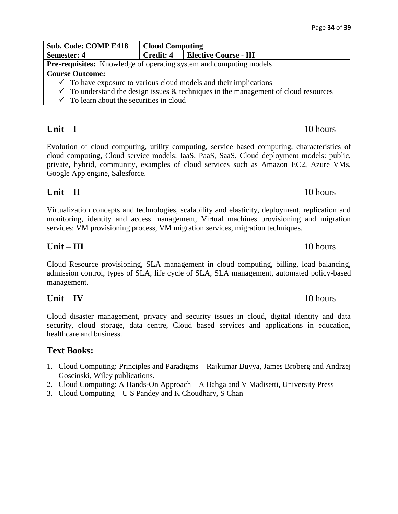| <b>Sub. Code: COMP E418</b>                                                                    | <b>Cloud Computing</b> |                                          |
|------------------------------------------------------------------------------------------------|------------------------|------------------------------------------|
| <b>Semester: 4</b>                                                                             |                        | <b>Credit: 4   Elective Course - III</b> |
| <b>Pre-requisites:</b> Knowledge of operating system and computing models                      |                        |                                          |
| <b>Course Outcome:</b>                                                                         |                        |                                          |
| $\checkmark$ To have exposure to various cloud models and their implications                   |                        |                                          |
| $\checkmark$ To understand the design issues & techniques in the management of cloud resources |                        |                                          |

- 
- $\checkmark$  To learn about the securities in cloud

Evolution of cloud computing, utility computing, service based computing, characteristics of cloud computing, Cloud service models: IaaS, PaaS, SaaS, Cloud deployment models: public, private, hybrid, community, examples of cloud services such as Amazon EC2, Azure VMs, Google App engine, Salesforce.

# **Unit – II** 10 hours

Virtualization concepts and technologies, scalability and elasticity, deployment, replication and monitoring, identity and access management, Virtual machines provisioning and migration services: VM provisioning process, VM migration services, migration techniques.

Cloud Resource provisioning, SLA management in cloud computing, billing, load balancing, admission control, types of SLA, life cycle of SLA, SLA management, automated policy-based management.

# **Unit – IV** 10 hours

Cloud disaster management, privacy and security issues in cloud, digital identity and data security, cloud storage, data centre, Cloud based services and applications in education, healthcare and business.

# **Text Books:**

- 1. Cloud Computing: Principles and Paradigms Rajkumar Buyya, James Broberg and Andrzej Goscinski, Wiley publications.
- 2. Cloud Computing: A Hands-On Approach A Bahga and V Madisetti, University Press
- 3. Cloud Computing U S Pandey and K Choudhary, S Chan

### **Unit – III** 10 hours

### **Unit – I** 10 hours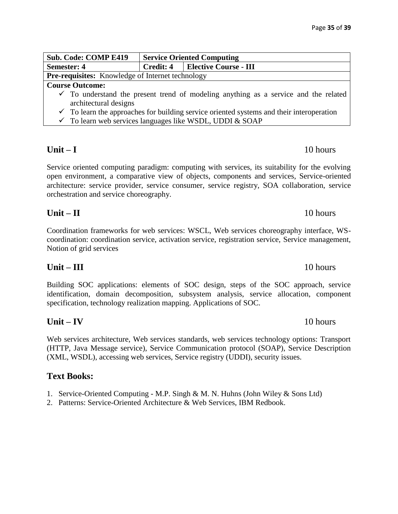| <b>Sub. Code: COMP E419</b>                                                                         | <b>Service Oriented Computing</b> |                                   |  |
|-----------------------------------------------------------------------------------------------------|-----------------------------------|-----------------------------------|--|
| <b>Semester: 4</b>                                                                                  |                                   | Credit: 4   Elective Course - III |  |
| <b>Pre-requisites:</b> Knowledge of Internet technology                                             |                                   |                                   |  |
| <b>Course Outcome:</b>                                                                              |                                   |                                   |  |
| $\checkmark$ To understand the present trend of modeling anything as a service and the related      |                                   |                                   |  |
| architectural designs                                                                               |                                   |                                   |  |
| $\checkmark$ To learn the approaches for building service oriented systems and their interoperation |                                   |                                   |  |
| $\checkmark$ To learn web services languages like WSDL, UDDI & SOAP                                 |                                   |                                   |  |
|                                                                                                     |                                   |                                   |  |

Service oriented computing paradigm: computing with services, its suitability for the evolving open environment, a comparative view of objects, components and services, Service-oriented architecture: service provider, service consumer, service registry, SOA collaboration, service orchestration and service choreography.

Coordination frameworks for web services: WSCL, Web services choreography interface, WScoordination: coordination service, activation service, registration service, Service management, Notion of grid services

**Unit – II** 10 hours

Building SOC applications: elements of SOC design, steps of the SOC approach, service identification, domain decomposition, subsystem analysis, service allocation, component specification, technology realization mapping. Applications of SOC.

Web services architecture, Web services standards, web services technology options: Transport (HTTP, Java Message service), Service Communication protocol (SOAP), Service Description (XML, WSDL), accessing web services, Service registry (UDDI), security issues.

# **Text Books:**

- 1. Service-Oriented Computing M.P. Singh & M. N. Huhns (John Wiley & Sons Ltd)
- 2. Patterns: Service-Oriented Architecture & Web Services, IBM Redbook.

# **Unit – III** 10 hours

# **Unit – IV** 10 hours

# **Unit – I** 10 hours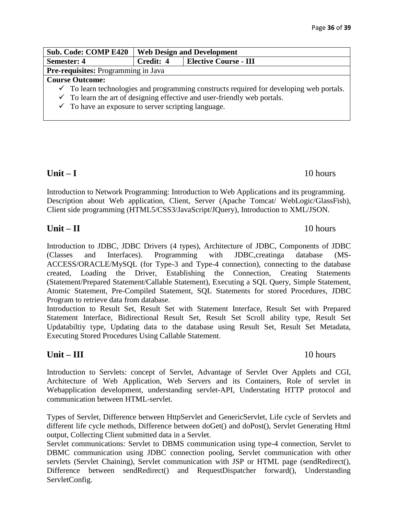| <b>Sub. Code: COMP E420</b>                                                                        | <b>Web Design and Development</b>         |  |
|----------------------------------------------------------------------------------------------------|-------------------------------------------|--|
| <b>Semester: 4</b>                                                                                 | Credit: 4<br><b>Elective Course - III</b> |  |
| <b>Pre-requisites:</b> Programming in Java                                                         |                                           |  |
| <b>Course Outcome:</b>                                                                             |                                           |  |
| $\checkmark$ To learn technologies and programming constructs required for developing web portals. |                                           |  |
| $\checkmark$ To learn the art of designing effective and user-friendly web portals.                |                                           |  |
| $\checkmark$ To have an exposure to server scripting language.                                     |                                           |  |

Introduction to Network Programming: Introduction to Web Applications and its programming. Description about Web application, Client, Server (Apache Tomcat/ WebLogic/GlassFish), Client side programming (HTML5/CSS3/JavaScript/JQuery), Introduction to XML/JSON.

Introduction to JDBC, JDBC Drivers (4 types), Architecture of JDBC, Components of JDBC (Classes and Interfaces). Programming with JDBC,creatinga database (MS-ACCESS/ORACLE/MySQL (for Type-3 and Type-4 connection), connecting to the database created, Loading the Driver, Establishing the Connection, Creating Statements (Statement/Prepared Statement/Callable Statement), Executing a SQL Query, Simple Statement, Atomic Statement, Pre-Compiled Statement, SQL Statements for stored Procedures, JDBC Program to retrieve data from database.

Introduction to Result Set, Result Set with Statement Interface, Result Set with Prepared Statement Interface, Bidirectional Result Set, Result Set Scroll ability type, Result Set Updatabiltiy type, Updating data to the database using Result Set, Result Set Metadata, Executing Stored Procedures Using Callable Statement.

# **Unit – III** 10 hours

Introduction to Servlets: concept of Servlet, Advantage of Servlet Over Applets and CGI, Architecture of Web Application, Web Servers and its Containers, Role of servlet in Webapplication development, understanding servlet-API, Understating HTTP protocol and communication between HTML-servlet.

Types of Servlet, Difference between HttpServlet and GenericServlet, Life cycle of Servlets and different life cycle methods, Difference between doGet() and doPost(), Servlet Generating Html output, Collecting Client submitted data in a Servlet.

Servlet communications: Servlet to DBMS communication using type-4 connection, Servlet to DBMC communication using JDBC connection pooling, Servlet communication with other servlets (Servlet Chaining), Servlet communication with JSP or HTML page (sendRedirect(), Difference between sendRedirect() and RequestDispatcher forward(), Understanding ServletConfig.

# **Unit – I** 10 hours

# **Unit – II** 10 hours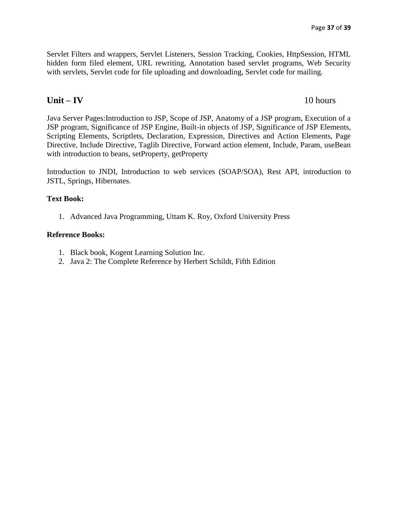Servlet Filters and wrappers, Servlet Listeners, Session Tracking, Cookies, HttpSession, HTML hidden form filed element, URL rewriting, Annotation based servlet programs, Web Security with servlets, Servlet code for file uploading and downloading, Servlet code for mailing.

# **Unit – IV** 10 hours

Java Server Pages:Introduction to JSP, Scope of JSP, Anatomy of a JSP program, Execution of a JSP program, Significance of JSP Engine, Built-in objects of JSP, Significance of JSP Elements, Scripting Elements, Scriptlets, Declaration, Expression, Directives and Action Elements, Page Directive, Include Directive, Taglib Directive, Forward action element, Include, Param, useBean with introduction to beans, setProperty, getProperty

Introduction to JNDI, Introduction to web services (SOAP/SOA), Rest API, introduction to JSTL, Springs, Hibernates.

### **Text Book:**

1. Advanced Java Programming, Uttam K. Roy, Oxford University Press

### **Reference Books:**

- 1. Black book, Kogent Learning Solution Inc.
- 2. Java 2: The Complete Reference [by Herbert Schildt,](http://www.amazon.in/Herbert-Schildt/e/B001H6PSMG/ref=dp_byline_cont_book_1) Fifth Edition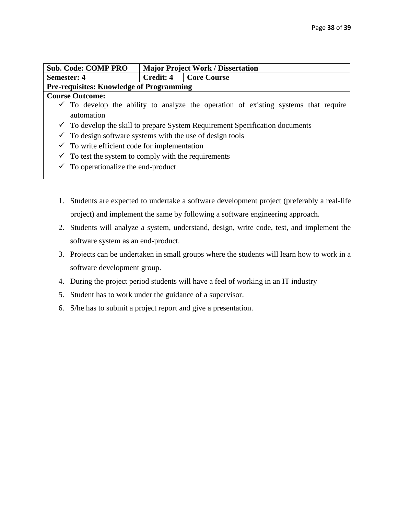|                    | <b>Sub. Code: COMP PRO</b>                                                                    | <b>Major Project Work / Dissertation</b> |                    |  |
|--------------------|-----------------------------------------------------------------------------------------------|------------------------------------------|--------------------|--|
| <b>Semester: 4</b> |                                                                                               | <b>Credit: 4</b>                         | <b>Core Course</b> |  |
|                    | <b>Pre-requisites: Knowledge of Programming</b>                                               |                                          |                    |  |
|                    | <b>Course Outcome:</b>                                                                        |                                          |                    |  |
|                    | $\checkmark$ To develop the ability to analyze the operation of existing systems that require |                                          |                    |  |
|                    | automation                                                                                    |                                          |                    |  |
|                    | $\checkmark$ To develop the skill to prepare System Requirement Specification documents       |                                          |                    |  |
|                    | $\checkmark$ To design software systems with the use of design tools                          |                                          |                    |  |
|                    | $\checkmark$ To write efficient code for implementation                                       |                                          |                    |  |
| $\checkmark$       | To test the system to comply with the requirements                                            |                                          |                    |  |
|                    | To operationalize the end-product                                                             |                                          |                    |  |

- 1. Students are expected to undertake a software development project (preferably a real-life project) and implement the same by following a software engineering approach.
- 2. Students will analyze a system, understand, design, write code, test, and implement the software system as an end-product.
- 3. Projects can be undertaken in small groups where the students will learn how to work in a software development group.
- 4. During the project period students will have a feel of working in an IT industry
- 5. Student has to work under the guidance of a supervisor.
- 6. S/he has to submit a project report and give a presentation.